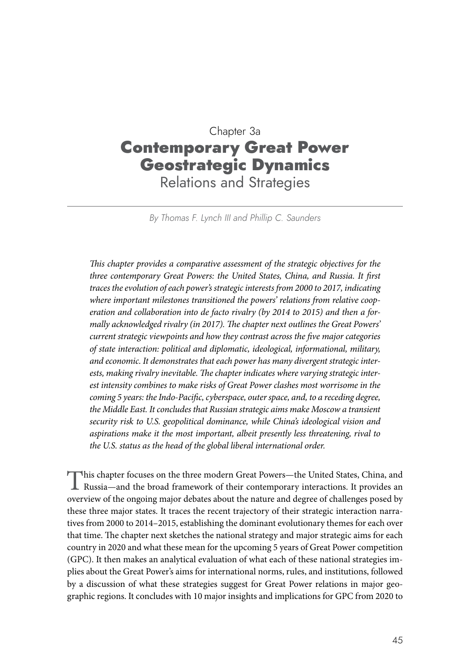# Chapter 3a Contemporary Great Power Geostrategic Dynamics Relations and Strategies

*By Thomas F. Lynch III and Phillip C. Saunders*

*This chapter provides a comparative assessment of the strategic objectives for the three contemporary Great Powers: the United States, China, and Russia. It first traces the evolution of each power's strategic interests from 2000 to 2017, indicating where important milestones transitioned the powers' relations from relative cooperation and collaboration into de facto rivalry (by 2014 to 2015) and then a formally acknowledged rivalry (in 2017). The chapter next outlines the Great Powers' current strategic viewpoints and how they contrast across the five major categories of state interaction: political and diplomatic, ideological, informational, military, and economic. It demonstrates that each power has many divergent strategic interests, making rivalry inevitable. The chapter indicates where varying strategic interest intensity combines to make risks of Great Power clashes most worrisome in the coming 5 years: the Indo-Pacific, cyberspace, outer space, and, to a receding degree, the Middle East. It concludes that Russian strategic aims make Moscow a transient security risk to U.S. geopolitical dominance, while China's ideological vision and aspirations make it the most important, albeit presently less threatening, rival to the U.S. status as the head of the global liberal international order.*

This chapter focuses on the three modern Great Powers—the United States, China, and Russia—and the broad framework of their contemporary interactions. It provides an overview of the ongoing major debates about the nature and degree of challenges posed by these three major states. It traces the recent trajectory of their strategic interaction narratives from 2000 to 2014–2015, establishing the dominant evolutionary themes for each over that time. The chapter next sketches the national strategy and major strategic aims for each country in 2020 and what these mean for the upcoming 5 years of Great Power competition (GPC). It then makes an analytical evaluation of what each of these national strategies implies about the Great Power's aims for international norms, rules, and institutions, followed by a discussion of what these strategies suggest for Great Power relations in major geographic regions. It concludes with 10 major insights and implications for GPC from 2020 to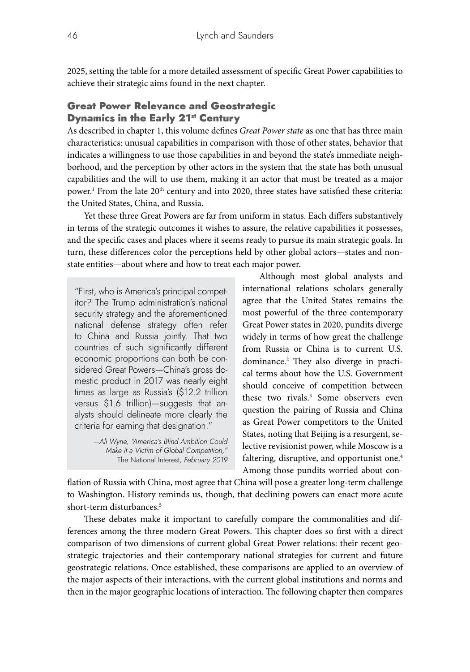2025, setting the table for a more detailed assessment of specific Great Power capabilities to achieve their strategic aims found in the next chapter.

# Great Power Relevance and Geostrategic **Dynamics in the Early 21st Century**

As described in chapter 1, this volume defines *Great Power state* as one that has three main characteristics: unusual capabilities in comparison with those of other states, behavior that indicates a willingness to use those capabilities in and beyond the state's immediate neighborhood, and the perception by other actors in the system that the state has both unusual capabilities and the will to use them, making it an actor that must be treated as a major power.<sup>1</sup> From the late 20<sup>th</sup> century and into 2020, three states have satisfied these criteria: the United States, China, and Russia.

Yet these three Great Powers are far from uniform in status. Each differs substantively in terms of the strategic outcomes it wishes to assure, the relative capabilities it possesses, and the specific cases and places where it seems ready to pursue its main strategic goals. In turn, these differences color the perceptions held by other global actors—states and nonstate entities—about where and how to treat each major power.

"First, who is America's principal competitor? The Trump administration's national security strategy and the aforementioned national defense strategy often refer to China and Russia jointly. That two countries of such significantly different economic proportions can both be considered Great Powers—China's gross domestic product in 2017 was nearly eight times as large as Russia's (\$12.2 trillion versus \$1.6 trillion)—suggests that analysts should delineate more clearly the criteria for earning that designation."

> *—Ali Wyne, "America's Blind Ambition Could Make It a Victim of Global Competition,"*  The National Interest*, February 2019*

Although most global analysts and international relations scholars generally agree that the United States remains the most powerful of the three contemporary Great Power states in 2020, pundits diverge widely in terms of how great the challenge from Russia or China is to current U.S. dominance.2 They also diverge in practical terms about how the U.S. Government should conceive of competition between these two rivals.3 Some observers even question the pairing of Russia and China as Great Power competitors to the United States, noting that Beijing is a resurgent, selective revisionist power, while Moscow is a faltering, disruptive, and opportunist one.<sup>4</sup> Among those pundits worried about con-

flation of Russia with China, most agree that China will pose a greater long-term challenge to Washington. History reminds us, though, that declining powers can enact more acute short-term disturbances.<sup>5</sup>

These debates make it important to carefully compare the commonalities and differences among the three modern Great Powers. This chapter does so first with a direct comparison of two dimensions of current global Great Power relations: their recent geostrategic trajectories and their contemporary national strategies for current and future geostrategic relations. Once established, these comparisons are applied to an overview of the major aspects of their interactions, with the current global institutions and norms and then in the major geographic locations of interaction. The following chapter then compares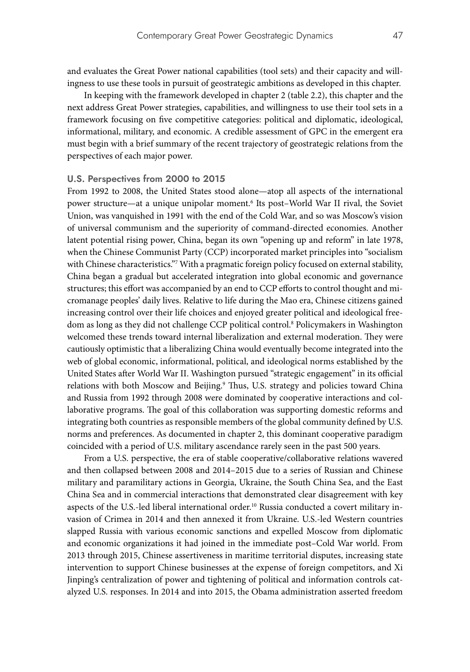and evaluates the Great Power national capabilities (tool sets) and their capacity and willingness to use these tools in pursuit of geostrategic ambitions as developed in this chapter.

In keeping with the framework developed in chapter 2 (table 2.2), this chapter and the next address Great Power strategies, capabilities, and willingness to use their tool sets in a framework focusing on five competitive categories: political and diplomatic, ideological, informational, military, and economic. A credible assessment of GPC in the emergent era must begin with a brief summary of the recent trajectory of geostrategic relations from the perspectives of each major power.

#### **U.S. Perspectives from 2000 to 2015**

From 1992 to 2008, the United States stood alone—atop all aspects of the international power structure—at a unique unipolar moment.6 Its post–World War II rival, the Soviet Union, was vanquished in 1991 with the end of the Cold War, and so was Moscow's vision of universal communism and the superiority of command-directed economies. Another latent potential rising power, China, began its own "opening up and reform" in late 1978, when the Chinese Communist Party (CCP) incorporated market principles into "socialism with Chinese characteristics."<sup>7</sup> With a pragmatic foreign policy focused on external stability, China began a gradual but accelerated integration into global economic and governance structures; this effort was accompanied by an end to CCP efforts to control thought and micromanage peoples' daily lives. Relative to life during the Mao era, Chinese citizens gained increasing control over their life choices and enjoyed greater political and ideological freedom as long as they did not challenge CCP political control.8 Policymakers in Washington welcomed these trends toward internal liberalization and external moderation. They were cautiously optimistic that a liberalizing China would eventually become integrated into the web of global economic, informational, political, and ideological norms established by the United States after World War II. Washington pursued "strategic engagement" in its official relations with both Moscow and Beijing.<sup>9</sup> Thus, U.S. strategy and policies toward China and Russia from 1992 through 2008 were dominated by cooperative interactions and collaborative programs. The goal of this collaboration was supporting domestic reforms and integrating both countries as responsible members of the global community defined by U.S. norms and preferences. As documented in chapter 2, this dominant cooperative paradigm coincided with a period of U.S. military ascendance rarely seen in the past 500 years.

From a U.S. perspective, the era of stable cooperative/collaborative relations wavered and then collapsed between 2008 and 2014–2015 due to a series of Russian and Chinese military and paramilitary actions in Georgia, Ukraine, the South China Sea, and the East China Sea and in commercial interactions that demonstrated clear disagreement with key aspects of the U.S.-led liberal international order.<sup>10</sup> Russia conducted a covert military invasion of Crimea in 2014 and then annexed it from Ukraine. U.S.-led Western countries slapped Russia with various economic sanctions and expelled Moscow from diplomatic and economic organizations it had joined in the immediate post–Cold War world. From 2013 through 2015, Chinese assertiveness in maritime territorial disputes, increasing state intervention to support Chinese businesses at the expense of foreign competitors, and Xi Jinping's centralization of power and tightening of political and information controls catalyzed U.S. responses. In 2014 and into 2015, the Obama administration asserted freedom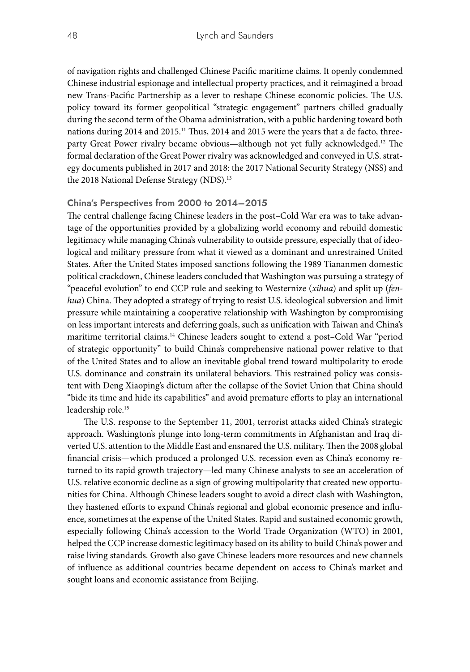of navigation rights and challenged Chinese Pacific maritime claims. It openly condemned Chinese industrial espionage and intellectual property practices, and it reimagined a broad new Trans-Pacific Partnership as a lever to reshape Chinese economic policies. The U.S. policy toward its former geopolitical "strategic engagement" partners chilled gradually during the second term of the Obama administration, with a public hardening toward both nations during 2014 and 2015.<sup>11</sup> Thus, 2014 and 2015 were the years that a de facto, threeparty Great Power rivalry became obvious—although not yet fully acknowledged.<sup>12</sup> The formal declaration of the Great Power rivalry was acknowledged and conveyed in U.S. strategy documents published in 2017 and 2018: the 2017 National Security Strategy (NSS) and the 2018 National Defense Strategy (NDS).<sup>13</sup>

## **China's Perspectives from 2000 to 2014–2015**

The central challenge facing Chinese leaders in the post–Cold War era was to take advantage of the opportunities provided by a globalizing world economy and rebuild domestic legitimacy while managing China's vulnerability to outside pressure, especially that of ideological and military pressure from what it viewed as a dominant and unrestrained United States. After the United States imposed sanctions following the 1989 Tiananmen domestic political crackdown, Chinese leaders concluded that Washington was pursuing a strategy of "peaceful evolution" to end CCP rule and seeking to Westernize (*xihua*) and split up (*fenhua*) China. They adopted a strategy of trying to resist U.S. ideological subversion and limit pressure while maintaining a cooperative relationship with Washington by compromising on less important interests and deferring goals, such as unification with Taiwan and China's maritime territorial claims.14 Chinese leaders sought to extend a post–Cold War "period of strategic opportunity" to build China's comprehensive national power relative to that of the United States and to allow an inevitable global trend toward multipolarity to erode U.S. dominance and constrain its unilateral behaviors. This restrained policy was consistent with Deng Xiaoping's dictum after the collapse of the Soviet Union that China should "bide its time and hide its capabilities" and avoid premature efforts to play an international leadership role.15

The U.S. response to the September 11, 2001, terrorist attacks aided China's strategic approach. Washington's plunge into long-term commitments in Afghanistan and Iraq diverted U.S. attention to the Middle East and ensnared the U.S. military. Then the 2008 global financial crisis—which produced a prolonged U.S. recession even as China's economy returned to its rapid growth trajectory—led many Chinese analysts to see an acceleration of U.S. relative economic decline as a sign of growing multipolarity that created new opportunities for China. Although Chinese leaders sought to avoid a direct clash with Washington, they hastened efforts to expand China's regional and global economic presence and influence, sometimes at the expense of the United States. Rapid and sustained economic growth, especially following China's accession to the World Trade Organization (WTO) in 2001, helped the CCP increase domestic legitimacy based on its ability to build China's power and raise living standards. Growth also gave Chinese leaders more resources and new channels of influence as additional countries became dependent on access to China's market and sought loans and economic assistance from Beijing.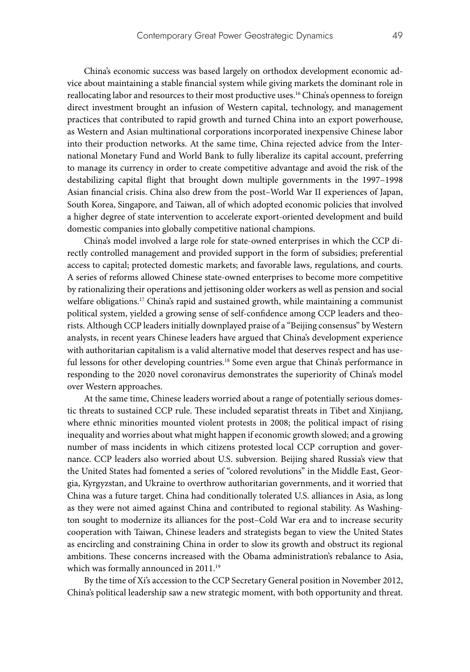China's economic success was based largely on orthodox development economic advice about maintaining a stable financial system while giving markets the dominant role in reallocating labor and resources to their most productive uses.16 China's openness to foreign direct investment brought an infusion of Western capital, technology, and management practices that contributed to rapid growth and turned China into an export powerhouse, as Western and Asian multinational corporations incorporated inexpensive Chinese labor into their production networks. At the same time, China rejected advice from the International Monetary Fund and World Bank to fully liberalize its capital account, preferring to manage its currency in order to create competitive advantage and avoid the risk of the destabilizing capital flight that brought down multiple governments in the 1997–1998 Asian financial crisis. China also drew from the post–World War II experiences of Japan, South Korea, Singapore, and Taiwan, all of which adopted economic policies that involved a higher degree of state intervention to accelerate export-oriented development and build domestic companies into globally competitive national champions.

China's model involved a large role for state-owned enterprises in which the CCP directly controlled management and provided support in the form of subsidies; preferential access to capital; protected domestic markets; and favorable laws, regulations, and courts. A series of reforms allowed Chinese state-owned enterprises to become more competitive by rationalizing their operations and jettisoning older workers as well as pension and social welfare obligations.17 China's rapid and sustained growth, while maintaining a communist political system, yielded a growing sense of self-confidence among CCP leaders and theorists. Although CCP leaders initially downplayed praise of a "Beijing consensus" by Western analysts, in recent years Chinese leaders have argued that China's development experience with authoritarian capitalism is a valid alternative model that deserves respect and has useful lessons for other developing countries.<sup>18</sup> Some even argue that China's performance in responding to the 2020 novel coronavirus demonstrates the superiority of China's model over Western approaches.

At the same time, Chinese leaders worried about a range of potentially serious domestic threats to sustained CCP rule. These included separatist threats in Tibet and Xinjiang, where ethnic minorities mounted violent protests in 2008; the political impact of rising inequality and worries about what might happen if economic growth slowed; and a growing number of mass incidents in which citizens protested local CCP corruption and governance. CCP leaders also worried about U.S. subversion. Beijing shared Russia's view that the United States had fomented a series of "colored revolutions" in the Middle East, Georgia, Kyrgyzstan, and Ukraine to overthrow authoritarian governments, and it worried that China was a future target. China had conditionally tolerated U.S. alliances in Asia, as long as they were not aimed against China and contributed to regional stability. As Washington sought to modernize its alliances for the post–Cold War era and to increase security cooperation with Taiwan, Chinese leaders and strategists began to view the United States as encircling and constraining China in order to slow its growth and obstruct its regional ambitions. These concerns increased with the Obama administration's rebalance to Asia, which was formally announced in 2011.<sup>19</sup>

By the time of Xi's accession to the CCP Secretary General position in November 2012, China's political leadership saw a new strategic moment, with both opportunity and threat.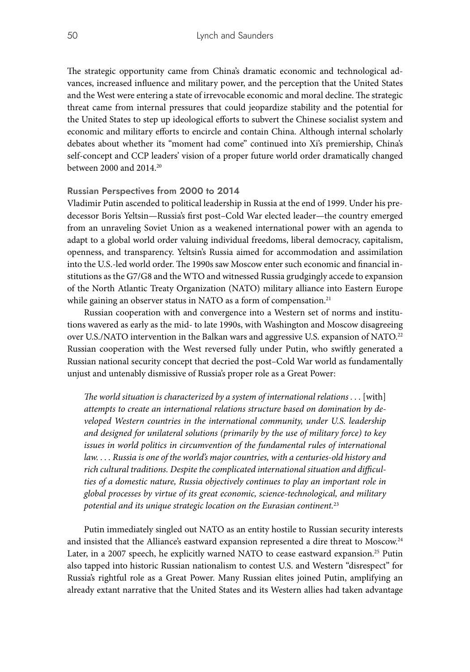The strategic opportunity came from China's dramatic economic and technological advances, increased influence and military power, and the perception that the United States and the West were entering a state of irrevocable economic and moral decline. The strategic threat came from internal pressures that could jeopardize stability and the potential for the United States to step up ideological efforts to subvert the Chinese socialist system and economic and military efforts to encircle and contain China. Although internal scholarly debates about whether its "moment had come" continued into Xi's premiership, China's self-concept and CCP leaders' vision of a proper future world order dramatically changed between 2000 and 2014.20

#### **Russian Perspectives from 2000 to 2014**

Vladimir Putin ascended to political leadership in Russia at the end of 1999. Under his predecessor Boris Yeltsin—Russia's first post–Cold War elected leader—the country emerged from an unraveling Soviet Union as a weakened international power with an agenda to adapt to a global world order valuing individual freedoms, liberal democracy, capitalism, openness, and transparency. Yeltsin's Russia aimed for accommodation and assimilation into the U.S.-led world order. The 1990s saw Moscow enter such economic and financial institutions as the G7/G8 and the WTO and witnessed Russia grudgingly accede to expansion of the North Atlantic Treaty Organization (NATO) military alliance into Eastern Europe while gaining an observer status in NATO as a form of compensation.<sup>21</sup>

Russian cooperation with and convergence into a Western set of norms and institutions wavered as early as the mid- to late 1990s, with Washington and Moscow disagreeing over U.S./NATO intervention in the Balkan wars and aggressive U.S. expansion of NATO.<sup>22</sup> Russian cooperation with the West reversed fully under Putin, who swiftly generated a Russian national security concept that decried the post–Cold War world as fundamentally unjust and untenably dismissive of Russia's proper role as a Great Power:

The world situation is characterized by a system of international relations . . . [with] *attempts to create an international relations structure based on domination by developed Western countries in the international community, under U.S. leadership and designed for unilateral solutions (primarily by the use of military force) to key issues in world politics in circumvention of the fundamental rules of international law. . . . Russia is one of the world's major countries, with a centuries-old history and rich cultural traditions. Despite the complicated international situation and difficulties of a domestic nature, Russia objectively continues to play an important role in global processes by virtue of its great economic, science-technological, and military potential and its unique strategic location on the Eurasian continent.*<sup>23</sup>

Putin immediately singled out NATO as an entity hostile to Russian security interests and insisted that the Alliance's eastward expansion represented a dire threat to Moscow.<sup>24</sup> Later, in a 2007 speech, he explicitly warned NATO to cease eastward expansion.<sup>25</sup> Putin also tapped into historic Russian nationalism to contest U.S. and Western "disrespect" for Russia's rightful role as a Great Power. Many Russian elites joined Putin, amplifying an already extant narrative that the United States and its Western allies had taken advantage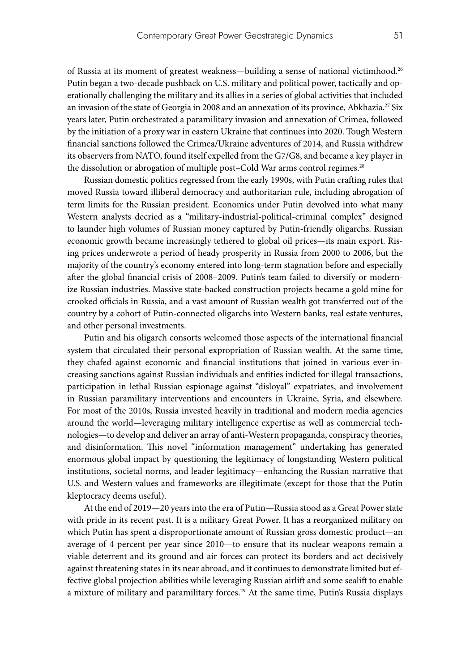of Russia at its moment of greatest weakness—building a sense of national victimhood.<sup>26</sup> Putin began a two-decade pushback on U.S. military and political power, tactically and operationally challenging the military and its allies in a series of global activities that included an invasion of the state of Georgia in 2008 and an annexation of its province, Abkhazia.27 Six years later, Putin orchestrated a paramilitary invasion and annexation of Crimea, followed by the initiation of a proxy war in eastern Ukraine that continues into 2020. Tough Western financial sanctions followed the Crimea/Ukraine adventures of 2014, and Russia withdrew its observers from NATO, found itself expelled from the G7/G8, and became a key player in the dissolution or abrogation of multiple post-Cold War arms control regimes.<sup>28</sup>

Russian domestic politics regressed from the early 1990s, with Putin crafting rules that moved Russia toward illiberal democracy and authoritarian rule, including abrogation of term limits for the Russian president. Economics under Putin devolved into what many Western analysts decried as a "military-industrial-political-criminal complex" designed to launder high volumes of Russian money captured by Putin-friendly oligarchs. Russian economic growth became increasingly tethered to global oil prices—its main export. Rising prices underwrote a period of heady prosperity in Russia from 2000 to 2006, but the majority of the country's economy entered into long-term stagnation before and especially after the global financial crisis of 2008–2009. Putin's team failed to diversify or modernize Russian industries. Massive state-backed construction projects became a gold mine for crooked officials in Russia, and a vast amount of Russian wealth got transferred out of the country by a cohort of Putin-connected oligarchs into Western banks, real estate ventures, and other personal investments.

Putin and his oligarch consorts welcomed those aspects of the international financial system that circulated their personal expropriation of Russian wealth. At the same time, they chafed against economic and financial institutions that joined in various ever-increasing sanctions against Russian individuals and entities indicted for illegal transactions, participation in lethal Russian espionage against "disloyal" expatriates, and involvement in Russian paramilitary interventions and encounters in Ukraine, Syria, and elsewhere. For most of the 2010s, Russia invested heavily in traditional and modern media agencies around the world—leveraging military intelligence expertise as well as commercial technologies—to develop and deliver an array of anti-Western propaganda, conspiracy theories, and disinformation. This novel "information management" undertaking has generated enormous global impact by questioning the legitimacy of longstanding Western political institutions, societal norms, and leader legitimacy—enhancing the Russian narrative that U.S. and Western values and frameworks are illegitimate (except for those that the Putin kleptocracy deems useful).

At the end of 2019—20 years into the era of Putin—Russia stood as a Great Power state with pride in its recent past. It is a military Great Power. It has a reorganized military on which Putin has spent a disproportionate amount of Russian gross domestic product—an average of 4 percent per year since 2010—to ensure that its nuclear weapons remain a viable deterrent and its ground and air forces can protect its borders and act decisively against threatening states in its near abroad, and it continues to demonstrate limited but effective global projection abilities while leveraging Russian airlift and some sealift to enable a mixture of military and paramilitary forces.<sup>29</sup> At the same time, Putin's Russia displays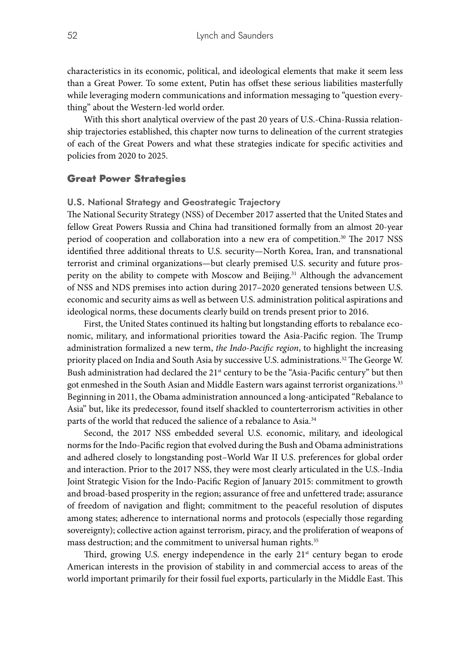characteristics in its economic, political, and ideological elements that make it seem less than a Great Power. To some extent, Putin has offset these serious liabilities masterfully while leveraging modern communications and information messaging to "question everything" about the Western-led world order.

With this short analytical overview of the past 20 years of U.S.-China-Russia relationship trajectories established, this chapter now turns to delineation of the current strategies of each of the Great Powers and what these strategies indicate for specific activities and policies from 2020 to 2025.

#### Great Power Strategies

#### **U.S. National Strategy and Geostrategic Trajectory**

The National Security Strategy (NSS) of December 2017 asserted that the United States and fellow Great Powers Russia and China had transitioned formally from an almost 20-year period of cooperation and collaboration into a new era of competition.<sup>30</sup> The 2017 NSS identified three additional threats to U.S. security—North Korea, Iran, and transnational terrorist and criminal organizations—but clearly premised U.S. security and future prosperity on the ability to compete with Moscow and Beijing.31 Although the advancement of NSS and NDS premises into action during 2017–2020 generated tensions between U.S. economic and security aims as well as between U.S. administration political aspirations and ideological norms, these documents clearly build on trends present prior to 2016.

First, the United States continued its halting but longstanding efforts to rebalance economic, military, and informational priorities toward the Asia-Pacific region. The Trump administration formalized a new term, *the Indo-Pacific region*, to highlight the increasing priority placed on India and South Asia by successive U.S. administrations.<sup>32</sup> The George W. Bush administration had declared the  $21<sup>st</sup>$  century to be the "Asia-Pacific century" but then got enmeshed in the South Asian and Middle Eastern wars against terrorist organizations.<sup>33</sup> Beginning in 2011, the Obama administration announced a long-anticipated "Rebalance to Asia" but, like its predecessor, found itself shackled to counterterrorism activities in other parts of the world that reduced the salience of a rebalance to Asia.<sup>34</sup>

Second, the 2017 NSS embedded several U.S. economic, military, and ideological norms for the Indo-Pacific region that evolved during the Bush and Obama administrations and adhered closely to longstanding post–World War II U.S. preferences for global order and interaction. Prior to the 2017 NSS, they were most clearly articulated in the U.S.-India Joint Strategic Vision for the Indo-Pacific Region of January 2015: commitment to growth and broad-based prosperity in the region; assurance of free and unfettered trade; assurance of freedom of navigation and flight; commitment to the peaceful resolution of disputes among states; adherence to international norms and protocols (especially those regarding sovereignty); collective action against terrorism, piracy, and the proliferation of weapons of mass destruction; and the commitment to universal human rights.<sup>35</sup>

Third, growing U.S. energy independence in the early  $21<sup>st</sup>$  century began to erode American interests in the provision of stability in and commercial access to areas of the world important primarily for their fossil fuel exports, particularly in the Middle East. This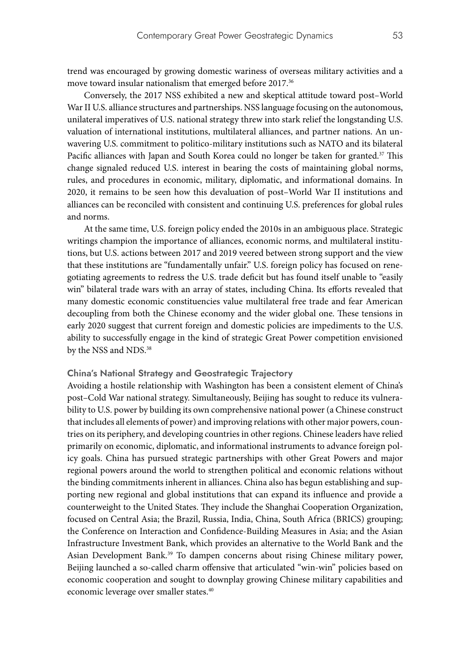trend was encouraged by growing domestic wariness of overseas military activities and a move toward insular nationalism that emerged before 2017.<sup>36</sup>

Conversely, the 2017 NSS exhibited a new and skeptical attitude toward post–World War II U.S. alliance structures and partnerships. NSS language focusing on the autonomous, unilateral imperatives of U.S. national strategy threw into stark relief the longstanding U.S. valuation of international institutions, multilateral alliances, and partner nations. An unwavering U.S. commitment to politico-military institutions such as NATO and its bilateral Pacific alliances with Japan and South Korea could no longer be taken for granted.<sup>37</sup> This change signaled reduced U.S. interest in bearing the costs of maintaining global norms, rules, and procedures in economic, military, diplomatic, and informational domains. In 2020, it remains to be seen how this devaluation of post–World War II institutions and alliances can be reconciled with consistent and continuing U.S. preferences for global rules and norms.

At the same time, U.S. foreign policy ended the 2010s in an ambiguous place. Strategic writings champion the importance of alliances, economic norms, and multilateral institutions, but U.S. actions between 2017 and 2019 veered between strong support and the view that these institutions are "fundamentally unfair." U.S. foreign policy has focused on renegotiating agreements to redress the U.S. trade deficit but has found itself unable to "easily win" bilateral trade wars with an array of states, including China. Its efforts revealed that many domestic economic constituencies value multilateral free trade and fear American decoupling from both the Chinese economy and the wider global one. These tensions in early 2020 suggest that current foreign and domestic policies are impediments to the U.S. ability to successfully engage in the kind of strategic Great Power competition envisioned by the NSS and NDS.<sup>38</sup>

#### **China's National Strategy and Geostrategic Trajectory**

Avoiding a hostile relationship with Washington has been a consistent element of China's post–Cold War national strategy. Simultaneously, Beijing has sought to reduce its vulnerability to U.S. power by building its own comprehensive national power (a Chinese construct that includes all elements of power) and improving relations with other major powers, countries on its periphery, and developing countries in other regions. Chinese leaders have relied primarily on economic, diplomatic, and informational instruments to advance foreign policy goals. China has pursued strategic partnerships with other Great Powers and major regional powers around the world to strengthen political and economic relations without the binding commitments inherent in alliances. China also has begun establishing and supporting new regional and global institutions that can expand its influence and provide a counterweight to the United States. They include the Shanghai Cooperation Organization, focused on Central Asia; the Brazil, Russia, India, China, South Africa (BRICS) grouping; the Conference on Interaction and Confidence-Building Measures in Asia; and the Asian Infrastructure Investment Bank, which provides an alternative to the World Bank and the Asian Development Bank.39 To dampen concerns about rising Chinese military power, Beijing launched a so-called charm offensive that articulated "win-win" policies based on economic cooperation and sought to downplay growing Chinese military capabilities and economic leverage over smaller states.40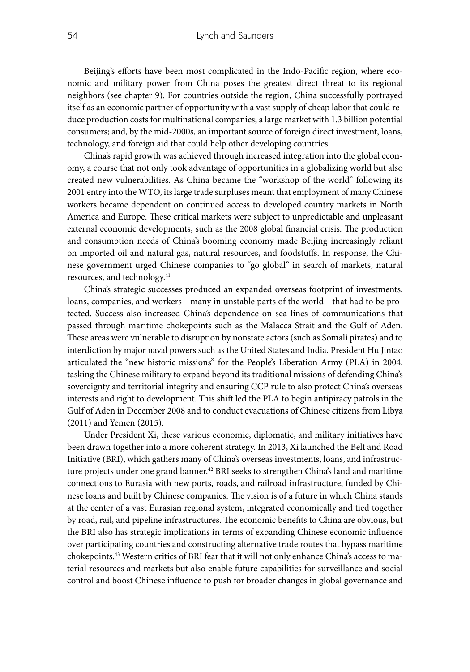Beijing's efforts have been most complicated in the Indo-Pacific region, where economic and military power from China poses the greatest direct threat to its regional neighbors (see chapter 9). For countries outside the region, China successfully portrayed itself as an economic partner of opportunity with a vast supply of cheap labor that could reduce production costs for multinational companies; a large market with 1.3 billion potential consumers; and, by the mid-2000s, an important source of foreign direct investment, loans, technology, and foreign aid that could help other developing countries.

China's rapid growth was achieved through increased integration into the global economy, a course that not only took advantage of opportunities in a globalizing world but also created new vulnerabilities. As China became the "workshop of the world" following its 2001 entry into the WTO, its large trade surpluses meant that employment of many Chinese workers became dependent on continued access to developed country markets in North America and Europe. These critical markets were subject to unpredictable and unpleasant external economic developments, such as the 2008 global financial crisis. The production and consumption needs of China's booming economy made Beijing increasingly reliant on imported oil and natural gas, natural resources, and foodstuffs. In response, the Chinese government urged Chinese companies to "go global" in search of markets, natural resources, and technology.<sup>41</sup>

China's strategic successes produced an expanded overseas footprint of investments, loans, companies, and workers—many in unstable parts of the world—that had to be protected. Success also increased China's dependence on sea lines of communications that passed through maritime chokepoints such as the Malacca Strait and the Gulf of Aden. These areas were vulnerable to disruption by nonstate actors (such as Somali pirates) and to interdiction by major naval powers such as the United States and India. President Hu Jintao articulated the "new historic missions" for the People's Liberation Army (PLA) in 2004, tasking the Chinese military to expand beyond its traditional missions of defending China's sovereignty and territorial integrity and ensuring CCP rule to also protect China's overseas interests and right to development. This shift led the PLA to begin antipiracy patrols in the Gulf of Aden in December 2008 and to conduct evacuations of Chinese citizens from Libya (2011) and Yemen (2015).

Under President Xi, these various economic, diplomatic, and military initiatives have been drawn together into a more coherent strategy. In 2013, Xi launched the Belt and Road Initiative (BRI), which gathers many of China's overseas investments, loans, and infrastructure projects under one grand banner.<sup>42</sup> BRI seeks to strengthen China's land and maritime connections to Eurasia with new ports, roads, and railroad infrastructure, funded by Chinese loans and built by Chinese companies. The vision is of a future in which China stands at the center of a vast Eurasian regional system, integrated economically and tied together by road, rail, and pipeline infrastructures. The economic benefits to China are obvious, but the BRI also has strategic implications in terms of expanding Chinese economic influence over participating countries and constructing alternative trade routes that bypass maritime chokepoints.43 Western critics of BRI fear that it will not only enhance China's access to material resources and markets but also enable future capabilities for surveillance and social control and boost Chinese influence to push for broader changes in global governance and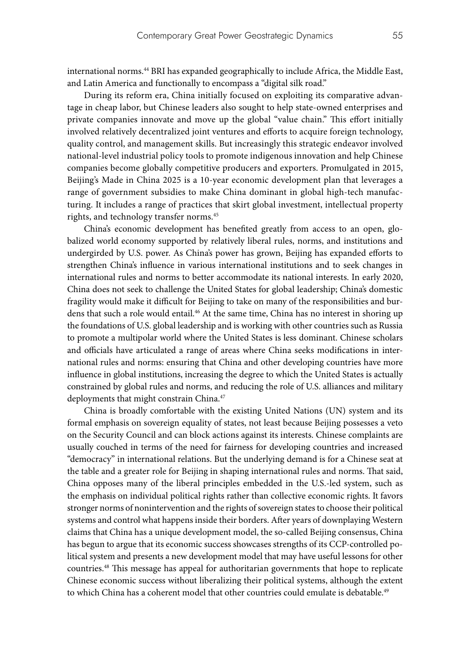international norms.44 BRI has expanded geographically to include Africa, the Middle East, and Latin America and functionally to encompass a "digital silk road."

During its reform era, China initially focused on exploiting its comparative advantage in cheap labor, but Chinese leaders also sought to help state-owned enterprises and private companies innovate and move up the global "value chain." This effort initially involved relatively decentralized joint ventures and efforts to acquire foreign technology, quality control, and management skills. But increasingly this strategic endeavor involved national-level industrial policy tools to promote indigenous innovation and help Chinese companies become globally competitive producers and exporters. Promulgated in 2015, Beijing's Made in China 2025 is a 10-year economic development plan that leverages a range of government subsidies to make China dominant in global high-tech manufacturing. It includes a range of practices that skirt global investment, intellectual property rights, and technology transfer norms.45

China's economic development has benefited greatly from access to an open, globalized world economy supported by relatively liberal rules, norms, and institutions and undergirded by U.S. power. As China's power has grown, Beijing has expanded efforts to strengthen China's influence in various international institutions and to seek changes in international rules and norms to better accommodate its national interests. In early 2020, China does not seek to challenge the United States for global leadership; China's domestic fragility would make it difficult for Beijing to take on many of the responsibilities and burdens that such a role would entail.<sup>46</sup> At the same time, China has no interest in shoring up the foundations of U.S. global leadership and is working with other countries such as Russia to promote a multipolar world where the United States is less dominant. Chinese scholars and officials have articulated a range of areas where China seeks modifications in international rules and norms: ensuring that China and other developing countries have more influence in global institutions, increasing the degree to which the United States is actually constrained by global rules and norms, and reducing the role of U.S. alliances and military deployments that might constrain China.<sup>47</sup>

China is broadly comfortable with the existing United Nations (UN) system and its formal emphasis on sovereign equality of states, not least because Beijing possesses a veto on the Security Council and can block actions against its interests. Chinese complaints are usually couched in terms of the need for fairness for developing countries and increased "democracy" in international relations. But the underlying demand is for a Chinese seat at the table and a greater role for Beijing in shaping international rules and norms. That said, China opposes many of the liberal principles embedded in the U.S.-led system, such as the emphasis on individual political rights rather than collective economic rights. It favors stronger norms of nonintervention and the rights of sovereign states to choose their political systems and control what happens inside their borders. After years of downplaying Western claims that China has a unique development model, the so-called Beijing consensus, China has begun to argue that its economic success showcases strengths of its CCP-controlled political system and presents a new development model that may have useful lessons for other countries.48 This message has appeal for authoritarian governments that hope to replicate Chinese economic success without liberalizing their political systems, although the extent to which China has a coherent model that other countries could emulate is debatable.<sup>49</sup>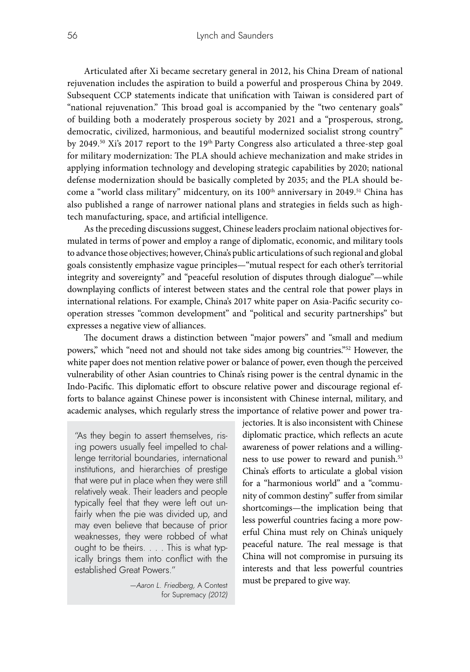Articulated after Xi became secretary general in 2012, his China Dream of national rejuvenation includes the aspiration to build a powerful and prosperous China by 2049. Subsequent CCP statements indicate that unification with Taiwan is considered part of "national rejuvenation." This broad goal is accompanied by the "two centenary goals" of building both a moderately prosperous society by 2021 and a "prosperous, strong, democratic, civilized, harmonious, and beautiful modernized socialist strong country" by 2049.<sup>50</sup> Xi's 2017 report to the 19<sup>th p</sup>arty Congress also articulated a three-step goal for military modernization: The PLA should achieve mechanization and make strides in applying information technology and developing strategic capabilities by 2020; national defense modernization should be basically completed by 2035; and the PLA should become a "world class military" midcentury, on its 100<sup>th</sup> anniversary in 2049.<sup>51</sup> China has also published a range of narrower national plans and strategies in fields such as hightech manufacturing, space, and artificial intelligence.

As the preceding discussions suggest, Chinese leaders proclaim national objectives formulated in terms of power and employ a range of diplomatic, economic, and military tools to advance those objectives; however, China's public articulations of such regional and global goals consistently emphasize vague principles—"mutual respect for each other's territorial integrity and sovereignty" and "peaceful resolution of disputes through dialogue"—while downplaying conflicts of interest between states and the central role that power plays in international relations. For example, China's 2017 white paper on Asia-Pacific security cooperation stresses "common development" and "political and security partnerships" but expresses a negative view of alliances.

The document draws a distinction between "major powers" and "small and medium powers," which "need not and should not take sides among big countries."52 However, the white paper does not mention relative power or balance of power, even though the perceived vulnerability of other Asian countries to China's rising power is the central dynamic in the Indo-Pacific. This diplomatic effort to obscure relative power and discourage regional efforts to balance against Chinese power is inconsistent with Chinese internal, military, and academic analyses, which regularly stress the importance of relative power and power tra-

"As they begin to assert themselves, rising powers usually feel impelled to challenge territorial boundaries, international institutions, and hierarchies of prestige that were put in place when they were still relatively weak. Their leaders and people typically feel that they were left out unfairly when the pie was divided up, and may even believe that because of prior weaknesses, they were robbed of what ought to be theirs. . . . This is what typically brings them into conflict with the established Great Powers."

> *—Aaron L. Friedberg,* A Contest for Supremacy *(2012)*

jectories. It is also inconsistent with Chinese diplomatic practice, which reflects an acute awareness of power relations and a willingness to use power to reward and punish.<sup>53</sup> China's efforts to articulate a global vision for a "harmonious world" and a "community of common destiny" suffer from similar shortcomings—the implication being that less powerful countries facing a more powerful China must rely on China's uniquely peaceful nature. The real message is that China will not compromise in pursuing its interests and that less powerful countries must be prepared to give way.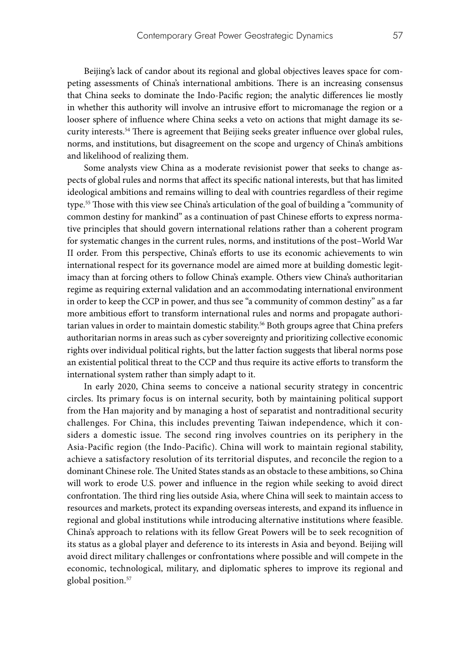Beijing's lack of candor about its regional and global objectives leaves space for competing assessments of China's international ambitions. There is an increasing consensus that China seeks to dominate the Indo-Pacific region; the analytic differences lie mostly in whether this authority will involve an intrusive effort to micromanage the region or a looser sphere of influence where China seeks a veto on actions that might damage its security interests.54 There is agreement that Beijing seeks greater influence over global rules, norms, and institutions, but disagreement on the scope and urgency of China's ambitions and likelihood of realizing them.

Some analysts view China as a moderate revisionist power that seeks to change aspects of global rules and norms that affect its specific national interests, but that has limited ideological ambitions and remains willing to deal with countries regardless of their regime type.55 Those with this view see China's articulation of the goal of building a "community of common destiny for mankind" as a continuation of past Chinese efforts to express normative principles that should govern international relations rather than a coherent program for systematic changes in the current rules, norms, and institutions of the post–World War II order. From this perspective, China's efforts to use its economic achievements to win international respect for its governance model are aimed more at building domestic legitimacy than at forcing others to follow China's example. Others view China's authoritarian regime as requiring external validation and an accommodating international environment in order to keep the CCP in power, and thus see "a community of common destiny" as a far more ambitious effort to transform international rules and norms and propagate authoritarian values in order to maintain domestic stability.<sup>56</sup> Both groups agree that China prefers authoritarian norms in areas such as cyber sovereignty and prioritizing collective economic rights over individual political rights, but the latter faction suggests that liberal norms pose an existential political threat to the CCP and thus require its active efforts to transform the international system rather than simply adapt to it.

In early 2020, China seems to conceive a national security strategy in concentric circles. Its primary focus is on internal security, both by maintaining political support from the Han majority and by managing a host of separatist and nontraditional security challenges. For China, this includes preventing Taiwan independence, which it considers a domestic issue. The second ring involves countries on its periphery in the Asia-Pacific region (the Indo-Pacific). China will work to maintain regional stability, achieve a satisfactory resolution of its territorial disputes, and reconcile the region to a dominant Chinese role. The United States stands as an obstacle to these ambitions, so China will work to erode U.S. power and influence in the region while seeking to avoid direct confrontation. The third ring lies outside Asia, where China will seek to maintain access to resources and markets, protect its expanding overseas interests, and expand its influence in regional and global institutions while introducing alternative institutions where feasible. China's approach to relations with its fellow Great Powers will be to seek recognition of its status as a global player and deference to its interests in Asia and beyond. Beijing will avoid direct military challenges or confrontations where possible and will compete in the economic, technological, military, and diplomatic spheres to improve its regional and global position.<sup>57</sup>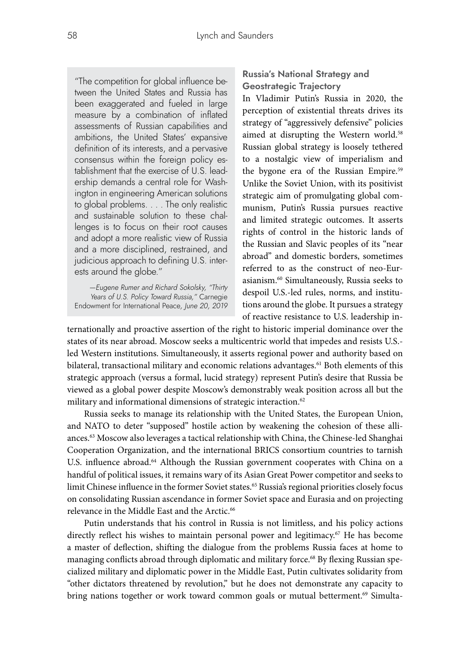"The competition for global influence between the United States and Russia has been exaggerated and fueled in large measure by a combination of inflated assessments of Russian capabilities and ambitions, the United States' expansive definition of its interests, and a pervasive consensus within the foreign policy establishment that the exercise of U.S. leadership demands a central role for Washington in engineering American solutions to global problems. . . . The only realistic and sustainable solution to these challenges is to focus on their root causes and adopt a more realistic view of Russia and a more disciplined, restrained, and judicious approach to defining U.S. interests around the globe."

*—Eugene Rumer and Richard Sokolsky, "Thirty Years of U.S. Policy Toward Russia,"* Carnegie Endowment for International Peace*, June 20, 2019*

# **Russia's National Strategy and Geostrategic Trajectory**

In Vladimir Putin's Russia in 2020, the perception of existential threats drives its strategy of "aggressively defensive" policies aimed at disrupting the Western world.<sup>58</sup> Russian global strategy is loosely tethered to a nostalgic view of imperialism and the bygone era of the Russian Empire.<sup>59</sup> Unlike the Soviet Union, with its positivist strategic aim of promulgating global communism, Putin's Russia pursues reactive and limited strategic outcomes. It asserts rights of control in the historic lands of the Russian and Slavic peoples of its "near abroad" and domestic borders, sometimes referred to as the construct of neo-Eurasianism.60 Simultaneously, Russia seeks to despoil U.S.-led rules, norms, and institutions around the globe. It pursues a strategy of reactive resistance to U.S. leadership in-

ternationally and proactive assertion of the right to historic imperial dominance over the states of its near abroad. Moscow seeks a multicentric world that impedes and resists U.S. led Western institutions. Simultaneously, it asserts regional power and authority based on bilateral, transactional military and economic relations advantages.<sup>61</sup> Both elements of this strategic approach (versus a formal, lucid strategy) represent Putin's desire that Russia be viewed as a global power despite Moscow's demonstrably weak position across all but the military and informational dimensions of strategic interaction.<sup>62</sup>

Russia seeks to manage its relationship with the United States, the European Union, and NATO to deter "supposed" hostile action by weakening the cohesion of these alliances.63 Moscow also leverages a tactical relationship with China, the Chinese-led Shanghai Cooperation Organization, and the international BRICS consortium countries to tarnish U.S. influence abroad.<sup>64</sup> Although the Russian government cooperates with China on a handful of political issues, it remains wary of its Asian Great Power competitor and seeks to limit Chinese influence in the former Soviet states.<sup>65</sup> Russia's regional priorities closely focus on consolidating Russian ascendance in former Soviet space and Eurasia and on projecting relevance in the Middle East and the Arctic.<sup>66</sup>

Putin understands that his control in Russia is not limitless, and his policy actions directly reflect his wishes to maintain personal power and legitimacy.<sup>67</sup> He has become a master of deflection, shifting the dialogue from the problems Russia faces at home to managing conflicts abroad through diplomatic and military force.<sup>68</sup> By flexing Russian specialized military and diplomatic power in the Middle East, Putin cultivates solidarity from "other dictators threatened by revolution," but he does not demonstrate any capacity to bring nations together or work toward common goals or mutual betterment.<sup>69</sup> Simulta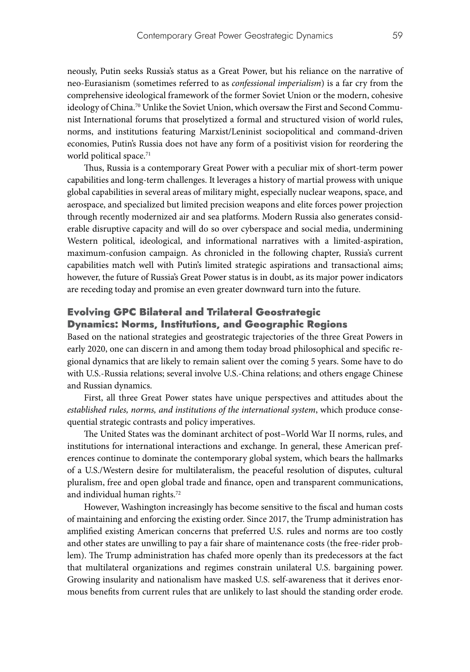neously, Putin seeks Russia's status as a Great Power, but his reliance on the narrative of neo-Eurasianism (sometimes referred to as *confessional imperialism*) is a far cry from the comprehensive ideological framework of the former Soviet Union or the modern, cohesive ideology of China.<sup>70</sup> Unlike the Soviet Union, which oversaw the First and Second Communist International forums that proselytized a formal and structured vision of world rules, norms, and institutions featuring Marxist/Leninist sociopolitical and command-driven economies, Putin's Russia does not have any form of a positivist vision for reordering the world political space.<sup>71</sup>

Thus, Russia is a contemporary Great Power with a peculiar mix of short-term power capabilities and long-term challenges. It leverages a history of martial prowess with unique global capabilities in several areas of military might, especially nuclear weapons, space, and aerospace, and specialized but limited precision weapons and elite forces power projection through recently modernized air and sea platforms. Modern Russia also generates considerable disruptive capacity and will do so over cyberspace and social media, undermining Western political, ideological, and informational narratives with a limited-aspiration, maximum-confusion campaign. As chronicled in the following chapter, Russia's current capabilities match well with Putin's limited strategic aspirations and transactional aims; however, the future of Russia's Great Power status is in doubt, as its major power indicators are receding today and promise an even greater downward turn into the future.

# Evolving GPC Bilateral and Trilateral Geostrategic Dynamics: Norms, Institutions, and Geographic Regions

Based on the national strategies and geostrategic trajectories of the three Great Powers in early 2020, one can discern in and among them today broad philosophical and specific regional dynamics that are likely to remain salient over the coming 5 years. Some have to do with U.S.-Russia relations; several involve U.S.-China relations; and others engage Chinese and Russian dynamics.

First, all three Great Power states have unique perspectives and attitudes about the *established rules, norms, and institutions of the international system*, which produce consequential strategic contrasts and policy imperatives.

The United States was the dominant architect of post–World War II norms, rules, and institutions for international interactions and exchange. In general, these American preferences continue to dominate the contemporary global system, which bears the hallmarks of a U.S./Western desire for multilateralism, the peaceful resolution of disputes, cultural pluralism, free and open global trade and finance, open and transparent communications, and individual human rights.72

However, Washington increasingly has become sensitive to the fiscal and human costs of maintaining and enforcing the existing order. Since 2017, the Trump administration has amplified existing American concerns that preferred U.S. rules and norms are too costly and other states are unwilling to pay a fair share of maintenance costs (the free-rider problem). The Trump administration has chafed more openly than its predecessors at the fact that multilateral organizations and regimes constrain unilateral U.S. bargaining power. Growing insularity and nationalism have masked U.S. self-awareness that it derives enormous benefits from current rules that are unlikely to last should the standing order erode.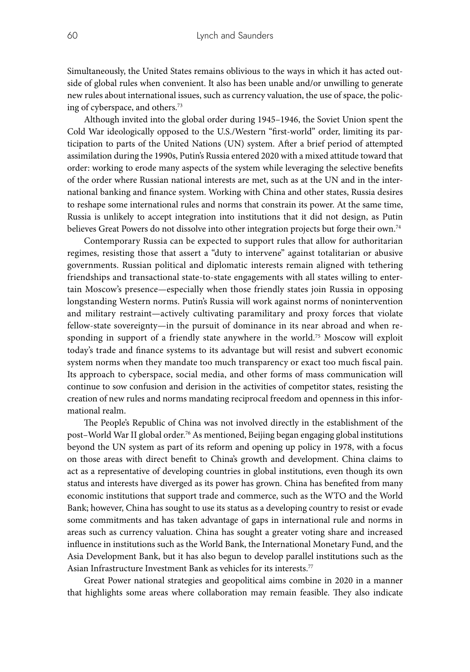Simultaneously, the United States remains oblivious to the ways in which it has acted outside of global rules when convenient. It also has been unable and/or unwilling to generate new rules about international issues, such as currency valuation, the use of space, the policing of cyberspace, and others.73

Although invited into the global order during 1945–1946, the Soviet Union spent the Cold War ideologically opposed to the U.S./Western "first-world" order, limiting its participation to parts of the United Nations (UN) system. After a brief period of attempted assimilation during the 1990s, Putin's Russia entered 2020 with a mixed attitude toward that order: working to erode many aspects of the system while leveraging the selective benefits of the order where Russian national interests are met, such as at the UN and in the international banking and finance system. Working with China and other states, Russia desires to reshape some international rules and norms that constrain its power. At the same time, Russia is unlikely to accept integration into institutions that it did not design, as Putin believes Great Powers do not dissolve into other integration projects but forge their own.<sup>74</sup>

Contemporary Russia can be expected to support rules that allow for authoritarian regimes, resisting those that assert a "duty to intervene" against totalitarian or abusive governments. Russian political and diplomatic interests remain aligned with tethering friendships and transactional state-to-state engagements with all states willing to entertain Moscow's presence—especially when those friendly states join Russia in opposing longstanding Western norms. Putin's Russia will work against norms of nonintervention and military restraint—actively cultivating paramilitary and proxy forces that violate fellow-state sovereignty—in the pursuit of dominance in its near abroad and when responding in support of a friendly state anywhere in the world.75 Moscow will exploit today's trade and finance systems to its advantage but will resist and subvert economic system norms when they mandate too much transparency or exact too much fiscal pain. Its approach to cyberspace, social media, and other forms of mass communication will continue to sow confusion and derision in the activities of competitor states, resisting the creation of new rules and norms mandating reciprocal freedom and openness in this informational realm.

The People's Republic of China was not involved directly in the establishment of the post–World War II global order.76 As mentioned, Beijing began engaging global institutions beyond the UN system as part of its reform and opening up policy in 1978, with a focus on those areas with direct benefit to China's growth and development. China claims to act as a representative of developing countries in global institutions, even though its own status and interests have diverged as its power has grown. China has benefited from many economic institutions that support trade and commerce, such as the WTO and the World Bank; however, China has sought to use its status as a developing country to resist or evade some commitments and has taken advantage of gaps in international rule and norms in areas such as currency valuation. China has sought a greater voting share and increased influence in institutions such as the World Bank, the International Monetary Fund, and the Asia Development Bank, but it has also begun to develop parallel institutions such as the Asian Infrastructure Investment Bank as vehicles for its interests.<sup>77</sup>

Great Power national strategies and geopolitical aims combine in 2020 in a manner that highlights some areas where collaboration may remain feasible. They also indicate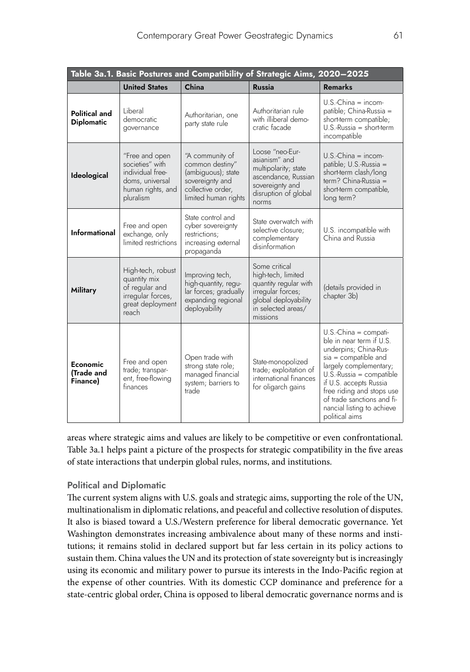| Table 3a.1. Basic Postures and Compatibility of Strategic Aims, 2020-2025 |                                                                                                            |                                                                                                                          |                                                                                                                                             |                                                                                                                                                                                                                                                                                                       |  |  |
|---------------------------------------------------------------------------|------------------------------------------------------------------------------------------------------------|--------------------------------------------------------------------------------------------------------------------------|---------------------------------------------------------------------------------------------------------------------------------------------|-------------------------------------------------------------------------------------------------------------------------------------------------------------------------------------------------------------------------------------------------------------------------------------------------------|--|--|
|                                                                           | <b>United States</b>                                                                                       | China                                                                                                                    | <b>Russia</b>                                                                                                                               | <b>Remarks</b>                                                                                                                                                                                                                                                                                        |  |  |
| <b>Political and</b><br><b>Diplomatic</b>                                 | Liberal<br>democratic<br>governance                                                                        | Authoritarian, one<br>party state rule                                                                                   | Authoritarian rule<br>with illiberal demo-<br>cratic facade                                                                                 | $U.S.-China = income$<br>patible; China-Russia =<br>short-term compatible;<br>$U.S.-Russia = short-term$<br>incompatible                                                                                                                                                                              |  |  |
| Ideological                                                               | "Free and open<br>societies" with<br>individual free-<br>doms, universal<br>human rights, and<br>pluralism | "A community of<br>common destiny"<br>(ambiguous); state<br>sovereignty and<br>collective order,<br>limited human rights | Loose "neo-Eur-<br>asianism" and<br>multipolarity; state<br>ascendance, Russian<br>sovereignty and<br>disruption of global<br>norms         | $U.S.-China = income$<br>patible; U.S.-Russia =<br>short-term clash/long<br>$term?$ China-Russia =<br>short-term compatible,<br>long term?                                                                                                                                                            |  |  |
| Informational                                                             | Free and open<br>exchange, only<br>limited restrictions                                                    | State control and<br>cyber sovereignty<br>restrictions:<br>increasing external<br>propaganda                             | State overwatch with<br>selective closure;<br>complementary<br>disinformation                                                               | U.S. incompatible with<br>China and Russia                                                                                                                                                                                                                                                            |  |  |
| <b>Military</b>                                                           | High-tech, robust<br>quantity mix<br>of regular and<br>irregular forces,<br>great deployment<br>reach      | Improving tech,<br>high-quantity, regu-<br>lar forces; gradually<br>expanding regional<br>deployability                  | Some critical<br>high-tech, limited<br>quantity regular with<br>irregular forces;<br>global deployability<br>in selected areas/<br>missions | (details provided in<br>chapter 3b)                                                                                                                                                                                                                                                                   |  |  |
| Economic<br>(Trade and<br>Finance)                                        | Free and open<br>trade; transpar-<br>ent, free-flowing<br>finances                                         | Open trade with<br>strong state role;<br>managed financial<br>system; barriers to<br>trade                               | State-monopolized<br>trade; exploitation of<br>international finances<br>for oligarch gains                                                 | $U.S.-China = compatible$<br>ble in near term if U.S.<br>underpins; China-Rus-<br>$sia =$ compatible and<br>largely complementary;<br>$U.S.-Russia = compatible$<br>if U.S. accepts Russia<br>free riding and stops use<br>of trade sanctions and fi-<br>nancial listing to achieve<br>political aims |  |  |

areas where strategic aims and values are likely to be competitive or even confrontational. Table 3a.1 helps paint a picture of the prospects for strategic compatibility in the five areas of state interactions that underpin global rules, norms, and institutions.

## **Political and Diplomatic**

The current system aligns with U.S. goals and strategic aims, supporting the role of the UN, multinationalism in diplomatic relations, and peaceful and collective resolution of disputes. It also is biased toward a U.S./Western preference for liberal democratic governance. Yet Washington demonstrates increasing ambivalence about many of these norms and institutions; it remains stolid in declared support but far less certain in its policy actions to sustain them. China values the UN and its protection of state sovereignty but is increasingly using its economic and military power to pursue its interests in the Indo-Pacific region at the expense of other countries. With its domestic CCP dominance and preference for a state-centric global order, China is opposed to liberal democratic governance norms and is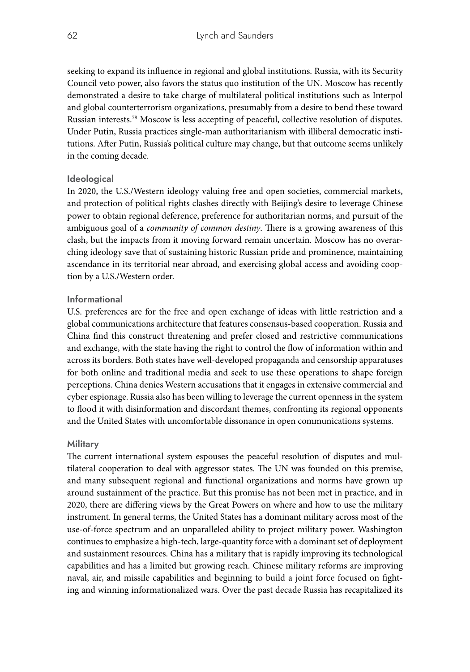seeking to expand its influence in regional and global institutions. Russia, with its Security Council veto power, also favors the status quo institution of the UN. Moscow has recently demonstrated a desire to take charge of multilateral political institutions such as Interpol and global counterterrorism organizations, presumably from a desire to bend these toward Russian interests.78 Moscow is less accepting of peaceful, collective resolution of disputes. Under Putin, Russia practices single-man authoritarianism with illiberal democratic institutions. After Putin, Russia's political culture may change, but that outcome seems unlikely in the coming decade.

## **Ideological**

In 2020, the U.S./Western ideology valuing free and open societies, commercial markets, and protection of political rights clashes directly with Beijing's desire to leverage Chinese power to obtain regional deference, preference for authoritarian norms, and pursuit of the ambiguous goal of a *community of common destiny*. There is a growing awareness of this clash, but the impacts from it moving forward remain uncertain. Moscow has no overarching ideology save that of sustaining historic Russian pride and prominence, maintaining ascendance in its territorial near abroad, and exercising global access and avoiding cooption by a U.S./Western order.

## **Informational**

U.S. preferences are for the free and open exchange of ideas with little restriction and a global communications architecture that features consensus-based cooperation. Russia and China find this construct threatening and prefer closed and restrictive communications and exchange, with the state having the right to control the flow of information within and across its borders. Both states have well-developed propaganda and censorship apparatuses for both online and traditional media and seek to use these operations to shape foreign perceptions. China denies Western accusations that it engages in extensive commercial and cyber espionage. Russia also has been willing to leverage the current openness in the system to flood it with disinformation and discordant themes, confronting its regional opponents and the United States with uncomfortable dissonance in open communications systems.

## **Military**

The current international system espouses the peaceful resolution of disputes and multilateral cooperation to deal with aggressor states. The UN was founded on this premise, and many subsequent regional and functional organizations and norms have grown up around sustainment of the practice. But this promise has not been met in practice, and in 2020, there are differing views by the Great Powers on where and how to use the military instrument. In general terms, the United States has a dominant military across most of the use-of-force spectrum and an unparalleled ability to project military power. Washington continues to emphasize a high-tech, large-quantity force with a dominant set of deployment and sustainment resources. China has a military that is rapidly improving its technological capabilities and has a limited but growing reach. Chinese military reforms are improving naval, air, and missile capabilities and beginning to build a joint force focused on fighting and winning informationalized wars. Over the past decade Russia has recapitalized its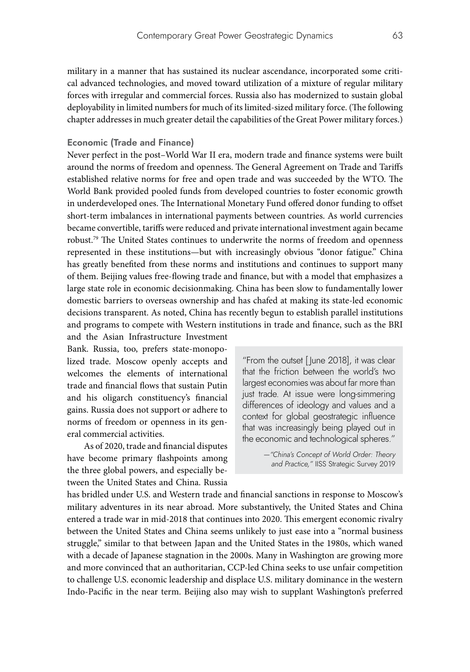military in a manner that has sustained its nuclear ascendance, incorporated some critical advanced technologies, and moved toward utilization of a mixture of regular military forces with irregular and commercial forces. Russia also has modernized to sustain global deployability in limited numbers for much of its limited-sized military force. (The following chapter addresses in much greater detail the capabilities of the Great Power military forces.)

#### **Economic (Trade and Finance)**

Never perfect in the post–World War II era, modern trade and finance systems were built around the norms of freedom and openness. The General Agreement on Trade and Tariffs established relative norms for free and open trade and was succeeded by the WTO. The World Bank provided pooled funds from developed countries to foster economic growth in underdeveloped ones. The International Monetary Fund offered donor funding to offset short-term imbalances in international payments between countries. As world currencies became convertible, tariffs were reduced and private international investment again became robust.79 The United States continues to underwrite the norms of freedom and openness represented in these institutions—but with increasingly obvious "donor fatigue." China has greatly benefited from these norms and institutions and continues to support many of them. Beijing values free-flowing trade and finance, but with a model that emphasizes a large state role in economic decisionmaking. China has been slow to fundamentally lower domestic barriers to overseas ownership and has chafed at making its state-led economic decisions transparent. As noted, China has recently begun to establish parallel institutions and programs to compete with Western institutions in trade and finance, such as the BRI

and the Asian Infrastructure Investment Bank. Russia, too, prefers state-monopolized trade. Moscow openly accepts and welcomes the elements of international trade and financial flows that sustain Putin and his oligarch constituency's financial gains. Russia does not support or adhere to norms of freedom or openness in its general commercial activities.

As of 2020, trade and financial disputes have become primary flashpoints among the three global powers, and especially between the United States and China. Russia

"From the outset [ June 2018], it was clear that the friction between the world's two largest economies was about far more than just trade. At issue were long-simmering differences of ideology and values and a context for global geostrategic influence that was increasingly being played out in the economic and technological spheres."

> *—"China's Concept of World Order: Theory and Practice,"* IISS Strategic Survey 2019

has bridled under U.S. and Western trade and financial sanctions in response to Moscow's military adventures in its near abroad. More substantively, the United States and China entered a trade war in mid-2018 that continues into 2020. This emergent economic rivalry between the United States and China seems unlikely to just ease into a "normal business struggle," similar to that between Japan and the United States in the 1980s, which waned with a decade of Japanese stagnation in the 2000s. Many in Washington are growing more and more convinced that an authoritarian, CCP-led China seeks to use unfair competition to challenge U.S. economic leadership and displace U.S. military dominance in the western Indo-Pacific in the near term. Beijing also may wish to supplant Washington's preferred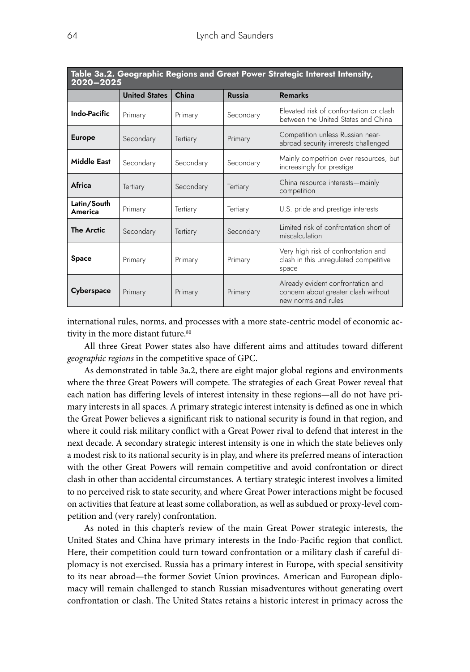| Table 3a.2. Geographic Regions and Great Power Strategic Interest Intensity,<br>2020-2025 |                      |                 |               |                                                                                                 |  |  |
|-------------------------------------------------------------------------------------------|----------------------|-----------------|---------------|-------------------------------------------------------------------------------------------------|--|--|
|                                                                                           | <b>United States</b> | China           | <b>Russia</b> | <b>Remarks</b>                                                                                  |  |  |
| <b>Indo-Pacific</b>                                                                       | Primary              | Primary         | Secondary     | Elevated risk of confrontation or clash<br>between the United States and China                  |  |  |
| <b>Europe</b>                                                                             | Secondary            | <b>Tertiary</b> | Primary       | Competition unless Russian near-<br>abroad security interests challenged                        |  |  |
| Middle East                                                                               | Secondary            | Secondary       | Secondary     | Mainly competition over resources, but<br>increasingly for prestige                             |  |  |
| Africa                                                                                    | Tertiary             | Secondary       | Tertiary      | China resource interests-mainly<br>competition                                                  |  |  |
| Latin/South<br>America                                                                    | Primary              | Tertiary        | Tertiary      | U.S. pride and prestige interests                                                               |  |  |
| <b>The Arctic</b>                                                                         | Secondary            | <b>Tertiary</b> | Secondary     | Limited risk of confrontation short of<br>miscalculation                                        |  |  |
| <b>Space</b>                                                                              | Primary              | Primary         | Primary       | Very high risk of confrontation and<br>clash in this unregulated competitive<br>space           |  |  |
| <b>Cyberspace</b>                                                                         | Primary              | Primary         | Primary       | Already evident confrontation and<br>concern about greater clash without<br>new norms and rules |  |  |

international rules, norms, and processes with a more state-centric model of economic activity in the more distant future.<sup>80</sup>

All three Great Power states also have different aims and attitudes toward different *geographic regions* in the competitive space of GPC.

As demonstrated in table 3a.2, there are eight major global regions and environments where the three Great Powers will compete. The strategies of each Great Power reveal that each nation has differing levels of interest intensity in these regions—all do not have primary interests in all spaces. A primary strategic interest intensity is defined as one in which the Great Power believes a significant risk to national security is found in that region, and where it could risk military conflict with a Great Power rival to defend that interest in the next decade. A secondary strategic interest intensity is one in which the state believes only a modest risk to its national security is in play, and where its preferred means of interaction with the other Great Powers will remain competitive and avoid confrontation or direct clash in other than accidental circumstances. A tertiary strategic interest involves a limited to no perceived risk to state security, and where Great Power interactions might be focused on activities that feature at least some collaboration, as well as subdued or proxy-level competition and (very rarely) confrontation.

As noted in this chapter's review of the main Great Power strategic interests, the United States and China have primary interests in the Indo-Pacific region that conflict. Here, their competition could turn toward confrontation or a military clash if careful diplomacy is not exercised. Russia has a primary interest in Europe, with special sensitivity to its near abroad—the former Soviet Union provinces. American and European diplomacy will remain challenged to stanch Russian misadventures without generating overt confrontation or clash. The United States retains a historic interest in primacy across the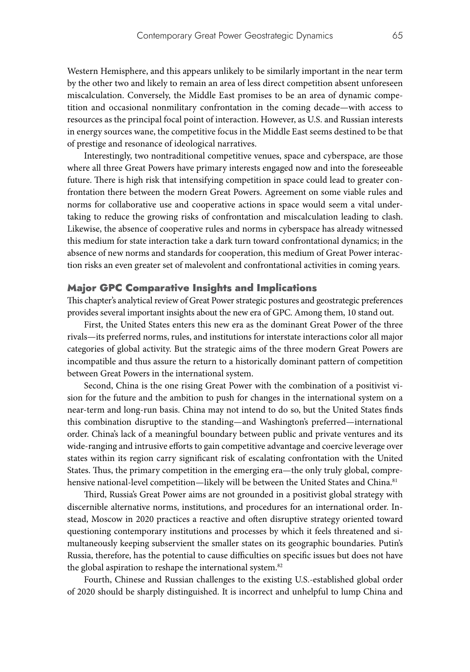Western Hemisphere, and this appears unlikely to be similarly important in the near term by the other two and likely to remain an area of less direct competition absent unforeseen miscalculation. Conversely, the Middle East promises to be an area of dynamic competition and occasional nonmilitary confrontation in the coming decade—with access to resources as the principal focal point of interaction. However, as U.S. and Russian interests in energy sources wane, the competitive focus in the Middle East seems destined to be that of prestige and resonance of ideological narratives.

Interestingly, two nontraditional competitive venues, space and cyberspace, are those where all three Great Powers have primary interests engaged now and into the foreseeable future. There is high risk that intensifying competition in space could lead to greater confrontation there between the modern Great Powers. Agreement on some viable rules and norms for collaborative use and cooperative actions in space would seem a vital undertaking to reduce the growing risks of confrontation and miscalculation leading to clash. Likewise, the absence of cooperative rules and norms in cyberspace has already witnessed this medium for state interaction take a dark turn toward confrontational dynamics; in the absence of new norms and standards for cooperation, this medium of Great Power interaction risks an even greater set of malevolent and confrontational activities in coming years.

#### Major GPC Comparative Insights and Implications

This chapter's analytical review of Great Power strategic postures and geostrategic preferences provides several important insights about the new era of GPC. Among them, 10 stand out.

First, the United States enters this new era as the dominant Great Power of the three rivals—its preferred norms, rules, and institutions for interstate interactions color all major categories of global activity. But the strategic aims of the three modern Great Powers are incompatible and thus assure the return to a historically dominant pattern of competition between Great Powers in the international system.

Second, China is the one rising Great Power with the combination of a positivist vision for the future and the ambition to push for changes in the international system on a near-term and long-run basis. China may not intend to do so, but the United States finds this combination disruptive to the standing—and Washington's preferred—international order. China's lack of a meaningful boundary between public and private ventures and its wide-ranging and intrusive efforts to gain competitive advantage and coercive leverage over states within its region carry significant risk of escalating confrontation with the United States. Thus, the primary competition in the emerging era—the only truly global, comprehensive national-level competition—likely will be between the United States and China.<sup>81</sup>

Third, Russia's Great Power aims are not grounded in a positivist global strategy with discernible alternative norms, institutions, and procedures for an international order. Instead, Moscow in 2020 practices a reactive and often disruptive strategy oriented toward questioning contemporary institutions and processes by which it feels threatened and simultaneously keeping subservient the smaller states on its geographic boundaries. Putin's Russia, therefore, has the potential to cause difficulties on specific issues but does not have the global aspiration to reshape the international system.<sup>82</sup>

Fourth, Chinese and Russian challenges to the existing U.S.-established global order of 2020 should be sharply distinguished. It is incorrect and unhelpful to lump China and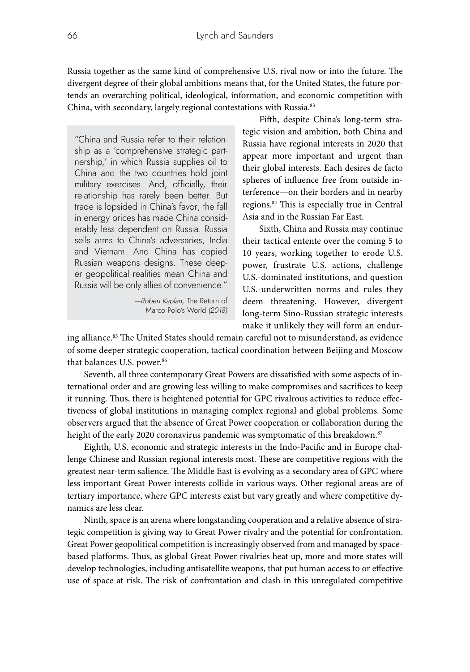Russia together as the same kind of comprehensive U.S. rival now or into the future. The divergent degree of their global ambitions means that, for the United States, the future portends an overarching political, ideological, information, and economic competition with China, with secondary, largely regional contestations with Russia.<sup>83</sup>

"China and Russia refer to their relationship as a 'comprehensive strategic partnership,' in which Russia supplies oil to China and the two countries hold joint military exercises. And, officially, their relationship has rarely been better. But trade is lopsided in China's favor; the fall in energy prices has made China considerably less dependent on Russia. Russia sells arms to China's adversaries, India and Vietnam. And China has copied Russian weapons designs. These deeper geopolitical realities mean China and Russia will be only allies of convenience."

> *—Robert Kaplan,* The Return of Marco Polo's World *(2018)*

Fifth, despite China's long-term strategic vision and ambition, both China and Russia have regional interests in 2020 that appear more important and urgent than their global interests. Each desires de facto spheres of influence free from outside interference—on their borders and in nearby regions.84 This is especially true in Central Asia and in the Russian Far East.

Sixth, China and Russia may continue their tactical entente over the coming 5 to 10 years, working together to erode U.S. power, frustrate U.S. actions, challenge U.S.-dominated institutions, and question U.S.-underwritten norms and rules they deem threatening. However, divergent long-term Sino-Russian strategic interests make it unlikely they will form an endur-

ing alliance.<sup>85</sup> The United States should remain careful not to misunderstand, as evidence of some deeper strategic cooperation, tactical coordination between Beijing and Moscow that balances U.S. power.<sup>86</sup>

Seventh, all three contemporary Great Powers are dissatisfied with some aspects of international order and are growing less willing to make compromises and sacrifices to keep it running. Thus, there is heightened potential for GPC rivalrous activities to reduce effectiveness of global institutions in managing complex regional and global problems. Some observers argued that the absence of Great Power cooperation or collaboration during the height of the early 2020 coronavirus pandemic was symptomatic of this breakdown.<sup>87</sup>

Eighth, U.S. economic and strategic interests in the Indo-Pacific and in Europe challenge Chinese and Russian regional interests most. These are competitive regions with the greatest near-term salience. The Middle East is evolving as a secondary area of GPC where less important Great Power interests collide in various ways. Other regional areas are of tertiary importance, where GPC interests exist but vary greatly and where competitive dynamics are less clear.

Ninth, space is an arena where longstanding cooperation and a relative absence of strategic competition is giving way to Great Power rivalry and the potential for confrontation. Great Power geopolitical competition is increasingly observed from and managed by spacebased platforms. Thus, as global Great Power rivalries heat up, more and more states will develop technologies, including antisatellite weapons, that put human access to or effective use of space at risk. The risk of confrontation and clash in this unregulated competitive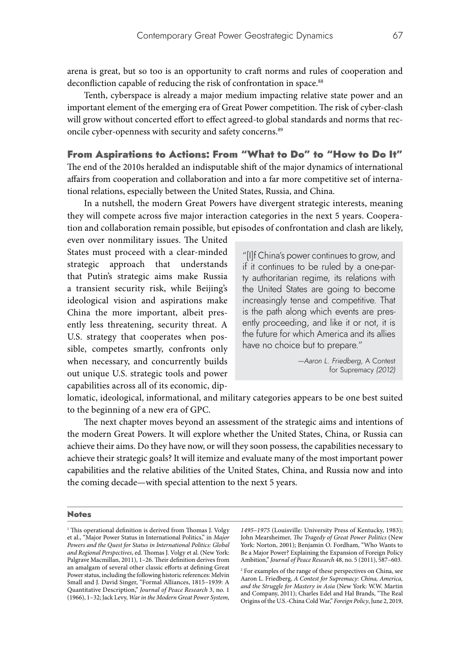arena is great, but so too is an opportunity to craft norms and rules of cooperation and deconfliction capable of reducing the risk of confrontation in space.<sup>88</sup>

Tenth, cyberspace is already a major medium impacting relative state power and an important element of the emerging era of Great Power competition. The risk of cyber-clash will grow without concerted effort to effect agreed-to global standards and norms that reconcile cyber-openness with security and safety concerns.<sup>89</sup>

#### From Aspirations to Actions: From "What to Do" to "How to Do It"

The end of the 2010s heralded an indisputable shift of the major dynamics of international affairs from cooperation and collaboration and into a far more competitive set of international relations, especially between the United States, Russia, and China.

In a nutshell, the modern Great Powers have divergent strategic interests, meaning they will compete across five major interaction categories in the next 5 years. Cooperation and collaboration remain possible, but episodes of confrontation and clash are likely,

even over nonmilitary issues. The United States must proceed with a clear-minded strategic approach that understands that Putin's strategic aims make Russia a transient security risk, while Beijing's ideological vision and aspirations make China the more important, albeit presently less threatening, security threat. A U.S. strategy that cooperates when possible, competes smartly, confronts only when necessary, and concurrently builds out unique U.S. strategic tools and power capabilities across all of its economic, dip-

"[I]f China's power continues to grow, and if it continues to be ruled by a one-party authoritarian regime, its relations with the United States are going to become increasingly tense and competitive. That is the path along which events are presently proceeding, and like it or not, it is the future for which America and its allies have no choice but to prepare."

> *—Aaron L. Friedberg,* A Contest for Supremacy *(2012)*

lomatic, ideological, informational, and military categories appears to be one best suited to the beginning of a new era of GPC.

The next chapter moves beyond an assessment of the strategic aims and intentions of the modern Great Powers. It will explore whether the United States, China, or Russia can achieve their aims. Do they have now, or will they soon possess, the capabilities necessary to achieve their strategic goals? It will itemize and evaluate many of the most important power capabilities and the relative abilities of the United States, China, and Russia now and into the coming decade—with special attention to the next 5 years.

#### **Notes**

<sup>&</sup>lt;sup>1</sup> This operational definition is derived from Thomas J. Volgy et al., "Major Power Status in International Politics," in *Major Powers and the Quest for Status in International Politics: Global and Regional Perspectives*, ed. Thomas J. Volgy et al. (New York: Palgrave Macmillan, 2011), 1–26. Their definition derives from an amalgam of several other classic efforts at defining Great Power status, including the following historic references: Melvin Small and J. David Singer, "Formal Alliances, 1815–1939: A Quantitative Description," *Journal of Peace Research* 3, no. 1 (1966), 1–32; Jack Levy, *War in the Modern Great Power System,* 

*<sup>1495–1975</sup>* (Louisville: University Press of Kentucky, 1983); John Mearsheimer, *The Tragedy of Great Power Politics* (New York: Norton, 2001); Benjamin O. Fordham, "Who Wants to Be a Major Power? Explaining the Expansion of Foreign Policy Ambition," *Journal of Peace Research* 48, no. 5 (2011), 587–603.

<sup>2</sup> For examples of the range of these perspectives on China, see Aaron L. Friedberg, *A Contest for Supremacy: China, America, and the Struggle for Mastery in Asia* (New York: W.W. Martin and Company, 2011); Charles Edel and Hal Brands, "The Real Origins of the U.S.-China Cold War," *Foreign Policy*, June 2, 2019,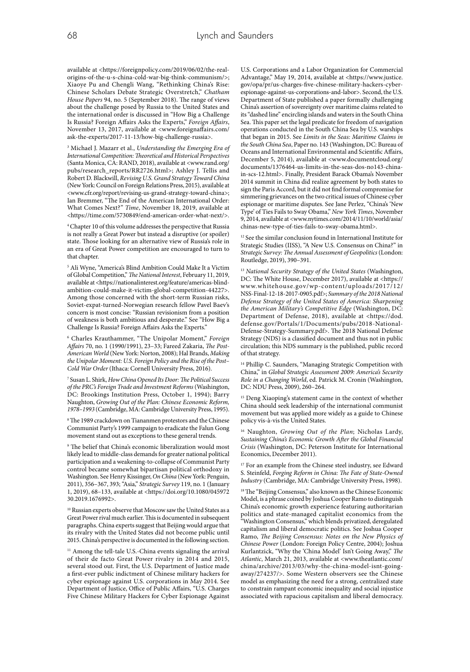available at <https://foreignpolicy.com/2019/06/02/the-realorigins-of-the-u-s-china-cold-war-big-think-communism/>; Xiaoye Pu and Chengli Wang, "Rethinking China's Rise: Chinese Scholars Debate Strategic Overstretch," *Chatham House Papers* 94, no. 5 (September 2018). The range of views about the challenge posed by Russia to the United States and the international order is discussed in "How Big a Challenge Is Russia? Foreign Affairs Asks the Experts," *Foreign Affairs*, November 13, 2017, available at <www.foreignaffairs.com/ ask-the-experts/2017-11-13/how-big-challenge-russia>.

<sup>3</sup> Michael J. Mazarr et al., *Understanding the Emerging Era of International Competition: Theoretical and Historical Perspectives* (Santa Monica, CA: RAND, 2018), available at <www.rand.org/ pubs/research\_reports/RR2726.html>; Ashley J. Tellis and Robert D. Blackwill, *Revising U.S. Grand Strategy Toward China* (New York: Council on Foreign Relations Press, 2015), available at <www.cfr.org/report/revising-us-grand-strategy-toward-china>; Ian Bremmer, "The End of the American International Order: What Comes Next?" *Time*, November 18, 2019, available at <https://time.com/5730849/end-american-order-what-next/>.

4 Chapter 10 of this volume addresses the perspective that Russia is not really a Great Power but instead a disruptive (or spoiler) state. Those looking for an alternative view of Russia's role in an era of Great Power competition are encouraged to turn to that chapter.

<sup>5</sup> Ali Wyne, "America's Blind Ambition Could Make It a Victim of Global Competition," *The National Interest*, February 11, 2019, available at <https://nationalinterest.org/feature/americas-blindambition-could-make-it-victim-global-competition-44227>. Among those concerned with the short-term Russian risks, Soviet-expat-turned-Norwegian research fellow Pavel Baev's concern is most concise: "Russian revisionism from a position of weakness is both ambitious and desperate." See "How Big a Challenge Is Russia? Foreign Affairs Asks the Experts."

<sup>6</sup> Charles Krauthammer, "The Unipolar Moment," *Foreign Affairs* 70, no. 1 (1990/1991), 23–33; Fareed Zakaria, *The Post-American World* (New York: Norton, 2008); Hal Brands, *Making the Unipolar Moment: U.S. Foreign Policy and the Rise of the Post– Cold War Order* (Ithaca: Cornell University Press, 2016).

<sup>7</sup> Susan L. Shirk, *How China Opened Its Door: The Political Success of the PRC's Foreign Trade and Investment Reforms* (Washington, DC: Brookings Institution Press, October 1, 1994); Barry Naughton, *Growing Out of the Plan: Chinese Economic Reform, 1978–1993* (Cambridge, MA: Cambridge University Press, 1995).

8The 1989 crackdown on Tiananmen protestors and the Chinese Communist Party's 1999 campaign to eradicate the Falun Gong movement stand out as exceptions to these general trends.

<sup>9</sup> The belief that China's economic liberalization would most likely lead to middle-class demands for greater national political participation and a weakening-to-collapse of Communist Party control became somewhat bipartisan political orthodoxy in Washington. See Henry Kissinger, *On China* (New York: Penguin, 2011), 356–367, 393; "Asia," *Strategic Survey* 119, no. 1 (January 1, 2019), 68–133, available at <https://doi.org/10.1080/045972 30.2019.1676992>.

<sup>10</sup> Russian experts observe that Moscow saw the United States as a Great Power rival much earlier. This is documented in subsequent paragraphs. China experts suggest that Beijing would argue that its rivalry with the United States did not become public until 2015. China's perspective is documented in the following section.

 $^{\rm 11}$  Among the tell-tale U.S.-China events signaling the arrival of their de facto Great Power rivalry in 2014 and 2015, several stood out. First, the U.S. Department of Justice made a first-ever public indictment of Chinese military hackers for cyber espionage against U.S. corporations in May 2014. See Department of Justice, Office of Public Affairs, "U.S. Charges Five Chinese Military Hackers for Cyber Espionage Against

U.S. Corporations and a Labor Organization for Commercial Advantage," May 19, 2014, available at <https://www.justice. gov/opa/pr/us-charges-five-chinese-military-hackers-cyberespionage-against-us-corporations-and-labor>. Second, the U.S. Department of State published a paper formally challenging China's assertion of sovereignty over maritime claims related to its "dashed line" encircling islands and waters in the South China Sea. This paper set the legal predicate for freedom of navigation operations conducted in the South China Sea by U.S. warships that began in 2015. See *Limits in the Seas: Maritime Claims in the South China Sea*, Paper no. 143 (Washington, DC: Bureau of Oceans and International Environmental and Scientific Affairs, December 5, 2014), available at <www.documentcloud.org/ documents/1376464-us-limits-in-the-seas-dos-no143-chinain-scs-12.html>. Finally, President Barack Obama's November 2014 summit in China did realize agreement by both states to sign the Paris Accord, but it did not find formal compromise for simmering grievances on the two critical issues of Chinese cyber espionage or maritime disputes. See Jane Perlez, "China's 'New Type' of Ties Fails to Sway Obama," *New York Times*, November 9, 2014, available at <www.nytimes.com/2014/11/10/world/asia/ chinas-new-type-of-ties-fails-to-sway-obama.html>.

<sup>12</sup> See the similar conclusion found in International Institute for Strategic Studies (IISS), "A New U.S. Consensus on China?" in *Strategic Survey: The Annual Assessment of Geopolitics* (London: Routledge, 2019), 390–391.

<sup>13</sup> *National Security Strategy of the United States* (Washington, DC: The White House, December 2017), available at <https:// www.whitehouse.gov/wp-content/uploads/2017/12/ NSS-Final-12-18-2017-0905.pdf>; *Summary of the 2018 National Defense Strategy of the United States of America: Sharpening the American Military's Competitive Edge* (Washington, DC: Department of Defense, 2018), available at <https://dod. defense.gov/Portals/1/Documents/pubs/2018-National-Defense-Strategy-Summary.pdf>. The 2018 National Defense Strategy (NDS) is a classified document and thus not in public circulation; this NDS summary is the published, public record of that strategy.

<sup>14</sup> Phillip C. Saunders, "Managing Strategic Competition with China," in *Global Strategic Assessment 2009: America's Security Role in a Changing World*, ed. Patrick M. Cronin (Washington, DC: NDU Press, 2009), 260–264.

Deng Xiaoping's statement came in the context of whether China should seek leadership of the international communist movement but was applied more widely as a guide to Chinese policy vis-à-vis the United States.

<sup>16</sup> Naughton, *Growing Out of the Plan*; Nicholas Lardy, *Sustaining China's Economic Growth After the Global Financial Crisis* (Washington, DC: Peterson Institute for International Economics, December 2011).

<sup>17</sup> For an example from the Chinese steel industry, see Edward S. Steinfeld, *Forging Reform in China: The Fate of State-Owned Industry* (Cambridge, MA: Cambridge University Press, 1998).

<sup>18</sup>The "Beijing Consensus," also known as the Chinese Economic Model, is a phrase coined by Joshua Cooper Ramo to distinguish China's economic growth experience featuring authoritarian politics and state-managed capitalist economics from the "Washington Consensus," which blends privatized, deregulated capitalism and liberal democratic politics. See Joshua Cooper Ramo, *The Beijing Consensus: Notes on the New Physics of Chinese Power* (London: Foreign Policy Centre, 2004); Joshua Kurlantzick, "Why the 'China Model' Isn't Going Away," *The Atlantic*, March 21, 2013, available at <www.theatlantic.com/ china/archive/2013/03/why-the-china-model-isnt-goingaway/274237/>. Some Western observers see the Chinese model as emphasizing the need for a strong, centralized state to constrain rampant economic inequality and social injustice associated with rapacious capitalism and liberal democracy.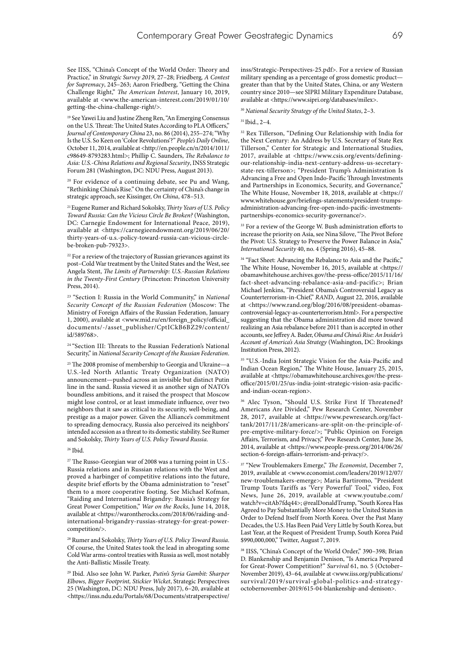See IISS, "China's Concept of the World Order: Theory and Practice," in *Strategic Survey 2019*, 27–28; Friedberg*, A Contest for Supremacy*, 245–263; Aaron Friedberg, "Getting the China Challenge Right," *The American Interest*, January 10, 2019, available at <www.the-american-interest.com/2019/01/10/ getting-the-china-challenge-right/>.

<sup>19</sup> See Yawei Liu and Justine Zheng Ren, "An Emerging Consensus on the U.S. Threat: The United States According to PLA Officers," *Journal of Contemporary China* 23, no. 86 (2014), 255–274; "Why Is the U.S. So Keen on 'Color Revolutions'?" *People's Daily Online*, October 11, 2014, available at <http://en.people.cn/n/2014/1011/ c98649-8793283.html>; Phillip C. Saunders, *The Rebalance to Asia: U.S.-China Relations and Regional Security*, INSS Strategic Forum 281 (Washington, DC: NDU Press, August 2013).

<sup>20</sup> For evidence of a continuing debate, see Pu and Wang, "Rethinking China's Rise." On the certainty of China's change in strategic approach, see Kissinger, *On China*, 478–513.

21 Eugene Rumer and Richard Sokolsky, *Thirty Years of U.S. Policy Toward Russia: Can the Vicious Circle Be Broken?* (Washington, DC: Carnegie Endowment for International Peace, 2019), available at <https://carnegieendowment.org/2019/06/20/ thirty-years-of-u.s.-policy-toward-russia-can-vicious-circlebe-broken-pub-79323>.

 $^{22}$  For a review of the trajectory of Russian grievances against its post–Cold War treatment by the United States and the West, see Angela Stent, *The Limits of Partnership: U.S.-Russian Relations in the Twenty-First Century* (Princeton: Princeton University Press, 2014).

<sup>23</sup> "Section I: Russia in the World Community," in *National Security Concept of the Russian Federation* (Moscow: The Ministry of Foreign Affairs of the Russian Federation, January 1, 2000), available at <www.mid.ru/en/foreign\_policy/official\_ documents/-/asset\_publisher/CptICkB6BZ29/content/ id/589768>.

<sup>24 "</sup>Section III: Threats to the Russian Federation's National Security," in *National Security Concept of the Russian Federation*.

<sup>25</sup> The 2008 promise of membership to Georgia and Ukraine-a U.S.-led North Atlantic Treaty Organization (NATO) announcement—pushed across an invisible but distinct Putin line in the sand. Russia viewed it as another sign of NATO's boundless ambitions, and it raised the prospect that Moscow might lose control, or at least immediate influence, over two neighbors that it saw as critical to its security, well-being, and prestige as a major power. Given the Alliance's commitment to spreading democracy, Russia also perceived its neighbors' intended accession as a threat to its domestic stability. See Rumer and Sokolsky, *Thirty Years of U.S. Policy Toward Russia*.

 $26$  Ibid.

 $27$  The Russo-Georgian war of 2008 was a turning point in U.S.-Russia relations and in Russian relations with the West and proved a harbinger of competitive relations into the future, despite brief efforts by the Obama administration to "reset" them to a more cooperative footing. See Michael Kofman, "Raiding and International Brigandry: Russia's Strategy for Great Power Competition," *War on the Rocks*, June 14, 2018, available at <https://warontherocks.com/2018/06/raiding-andinternational-brigandry-russias-strategy-for-great-powercompetition/>.

<sup>28</sup> Rumer and Sokolsky, *Thirty Years of U.S. Policy Toward Russia*. Of course, the United States took the lead in abrogating some Cold War arms-control treaties with Russia as well, most notably the Anti-Ballistic Missile Treaty.

<sup>29</sup> Ibid. Also see John W. Parker, *Putin's Syria Gambit: Sharper Elbows, Bigger Footprint, Stickier Wicket*, Strategic Perspectives 25 (Washington, DC: NDU Press, July 2017), 6–20, available at <https://inss.ndu.edu/Portals/68/Documents/stratperspective/ inss/Strategic-Perspectives-25.pdf>. For a review of Russian military spending as a percentage of gross domestic product greater than that by the United States, China, or any Western country since 2010—see SIPRI Military Expenditure Database, available at <https://www.sipri.org/databases/milex>.

<sup>30</sup> *National Security Strategy of the United States*, 2–3.

#### 31 Ibid., 2–4.

<sup>32</sup> Rex Tillerson, "Defining Our Relationship with India for the Next Century: An Address by U.S. Secretary of State Rex Tillerson," Center for Strategic and International Studies, 2017, available at <https://www.csis.org/events/definingour-relationship-india-next-century-address-us-secretarystate-rex-tillerson>; "President Trump's Administration Is Advancing a Free and Open Indo-Pacific Through Investments and Partnerships in Economics, Security, and Governance," The White House, November 18, 2018, available at <https:// www.whitehouse.gov/briefings-statements/president-trumpsadministration-advancing-free-open-indo-pacific-investmentspartnerships-economics-security-governance/>.

<sup>33</sup> For a review of the George W. Bush administration efforts to increase the priority on Asia, see Nina Silove, "The Pivot Before the Pivot: U.S. Strategy to Preserve the Power Balance in Asia," *International Security* 40, no. 4 (Spring 2016), 45–88.

<sup>34</sup> "Fact Sheet: Advancing the Rebalance to Asia and the Pacific," The White House, November 16, 2015, available at <https:// obamawhitehouse.archives.gov/the-press-office/2015/11/16/ fact-sheet-advancing-rebalance-asia-and-pacific>; Brian Michael Jenkins, "President Obama's Controversial Legacy as Counterterrorism-in-Chief," *RAND*, August 22, 2016, available at <https://www.rand.org/blog/2016/08/president-obamascontroversial-legacy-as-counterterrorism.html>. For a perspective suggesting that the Obama administration did more toward realizing an Asia rebalance before 2011 than is accepted in other accounts, see Jeffrey A. Bader, *Obama and China's Rise: An Insider's Account of America's Asia Strategy* (Washington, DC: Brookings Institution Press, 2012).

<sup>35</sup> "U.S.-India Joint Strategic Vision for the Asia-Pacific and Indian Ocean Region," The White House, January 25, 2015, available at <https://obamawhitehouse.archives.gov/the-pressoffice/2015/01/25/us-india-joint-strategic-vision-asia-pacificand-indian-ocean-region>.

<sup>36</sup> Alec Tyson, "Should U.S. Strike First If Threatened? Americans Are Divided," Pew Research Center, November 28, 2017, available at <https://www.pewresearch.org/facttank/2017/11/28/americans-are-split-on-the-principle-ofpre-emptive-military-force/>; "Public Opinion on Foreign Affairs, Terrorism, and Privacy," Pew Research Center, June 26, 2014, available at <https://www.people-press.org/2014/06/26/ section-6-foreign-affairs-terrorism-and-privacy/>.

37 "New Troublemakers Emerge," *The Economist*, December 7, 2019, available at <www.economist.com/leaders/2019/12/07/ new-troublemakers-emerge>; Maria Bartiromo, "President Trump Touts Tariffs as 'Very Powerful' Tool," video, Fox News, June 26, 2019, available at <www.youtube.com/ watch?v=citAb7fdq44>; @realDonaldTrump, "South Korea Has Agreed to Pay Substantially More Money to the United States in Order to Defend Itself from North Korea. Over the Past Many Decades, the U.S. Has Been Paid Very Little by South Korea, but Last Year, at the Request of President Trump, South Korea Paid \$990,000,000," Twitter, August 7, 2019.

<sup>38</sup> IISS, "China's Concept of the World Order," 390–398; Brian D. Blankenship and Benjamin Denison, "Is America Prepared for Great-Power Competition?" *Survival* 61, no. 5 (October– November 2019), 43–64, available at <www.iiss.org/publications/ survival/2019/survival-global-politics-and-strategyoctobernovember-2019/615-04-blankenship-and-denison>.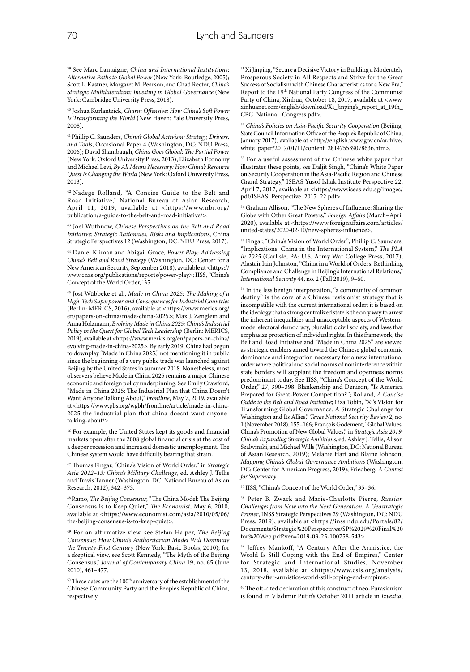<sup>39</sup> See Marc Lantaigne, *China and International Institutions: Alternative Paths to Global Power* (New York: Routledge, 2005); Scott L. Kastner, Margaret M. Pearson, and Chad Rector, *China's Strategic Multilateralism: Investing in Global Governance* (New York: Cambridge University Press, 2018).

<sup>40</sup> Joshua Kurlantzick, *Charm Offensive: How China's Soft Power Is Transforming the World* (New Haven: Yale University Press, 2008).

41 Phillip C. Saunders, *China's Global Activism: Strategy, Drivers, and Tools*, Occasional Paper 4 (Washington, DC: NDU Press, 2006); David Shambaugh, *China Goes Global: The Partial Power* (New York: Oxford University Press, 2013); Elizabeth Economy and Michael Levi, *By All Means Necessary: How China's Resource Quest Is Changing the World* (New York: Oxford University Press, 2013).

42 Nadege Rolland, "A Concise Guide to the Belt and Road Initiative," National Bureau of Asian Research, April 11, 2019, available at <https://www.nbr.org/ publication/a-guide-to-the-belt-and-road-initiative/>.

<sup>43</sup> Joel Wuthnow, *Chinese Perspectives on the Belt and Road Initiative: Strategic Rationales, Risks and Implications*, China Strategic Perspectives 12 (Washington, DC: NDU Press, 2017).

<sup>44</sup> Daniel Kliman and Abigail Grace, *Power Play: Addressing China's Belt and Road Strategy* (Washington, DC: Center for a New American Security, September 2018), available at <https:// www.cnas.org/publications/reports/power-play>; IISS, "China's Concept of the World Order," 35.

<sup>45</sup> Jost Wübbeke et al., *Made in China 2025: The Making of a High-Tech Superpower and Consequences for Industrial Countries* (Berlin: MERICS, 2016), available at <https://www.merics.org/ en/papers-on-china/made-china-2025>; Max J. Zenglein and Anna Holzmann, *Evolving Made in China 2025: China's Industrial Policy in the Quest for Global Tech Leadership* (Berlin: MERICS, 2019), available at <https://www.merics.org/en/papers-on-china/ evolving-made-in-china-2025>. By early 2019, China had begun to downplay "Made in China 2025," not mentioning it in public since the beginning of a very public trade war launched against Beijing by the United States in summer 2018. Nonetheless, most observers believe Made in China 2025 remains a major Chinese economic and foreign policy underpinning. See Emily Crawford, "Made in China 2025: The Industrial Plan that China Doesn't Want Anyone Talking About," *Frontline*, May 7, 2019, available at <https://www.pbs.org/wgbh/frontline/article/made-in-china-2025-the-industrial-plan-that-china-doesnt-want-anyonetalking-about/>.

46 For example, the United States kept its goods and financial markets open after the 2008 global financial crisis at the cost of a deeper recession and increased domestic unemployment. The Chinese system would have difficulty bearing that strain.

<sup>47</sup> Thomas Fingar, "China's Vision of World Order," in *Strategic Asia 2012–13: China's Military Challenge*, ed. Ashley J. Tellis and Travis Tanner (Washington, DC: National Bureau of Asian Research, 2012), 342–373.

48 Ramo, *The Beijing Consensus*; "The China Model: The Beijing Consensus Is to Keep Quiet," *The Economist*, May 6, 2010, available at <https://www.economist.com/asia/2010/05/06/ the-beijing-consensus-is-to-keep-quiet>.

<sup>49</sup> For an affirmative view, see Stefan Halper, *The Beijing Consensus: How China's Authoritarian Model Will Dominate the Twenty-First Century* (New York: Basic Books, 2010); for a skeptical view, see Scott Kennedy, "The Myth of the Beijing Consensus," *Journal of Contemporary China* 19, no. 65 (June 2010), 461–477.

 $50$  These dates are the  $100<sup>th</sup>$  anniversary of the establishment of the Chinese Community Party and the People's Republic of China, respectively.

<sup>51</sup> Xi Jinping, "Secure a Decisive Victory in Building a Moderately Prosperous Society in All Respects and Strive for the Great Success of Socialism with Chinese Characteristics for a New Era," Report to the 19th National Party Congress of the Communist Party of China, Xinhua, October 18, 2017, available at <www. xinhuanet.com/english/download/Xi\_Jinping's\_report\_at\_19th\_ CPC\_National\_Congress.pdf>.

<sup>52</sup> *China's Policies on Asia-Pacific Security Cooperation* (Beijing: State Council Information Office of the People's Republic of China, January 2017), available at <http://english.www.gov.cn/archive/ white\_paper/2017/01/11/content\_281475539078636.htm>.

<sup>53</sup> For a useful assessment of the Chinese white paper that illustrates these points, see Daljit Singh, "China's White Paper on Security Cooperation in the Asia-Pacific Region and Chinese Grand Strategy," ISEAS Yusof Ishak Institute Perspective 22, April 7, 2017, available at <https://www.iseas.edu.sg/images/ pdf/ISEAS\_Perspective\_2017\_22.pdf>.

<sup>54</sup> Graham Allison, "The New Spheres of Influence: Sharing the Globe with Other Great Powers," *Foreign Affairs* (March–April 2020), available at <https://www.foreignaffairs.com/articles/ united-states/2020-02-10/new-spheres-influence>.

<sup>55</sup> Fingar, "China's Vision of World Order"; Phillip C. Saunders, "Implications: China in the International System," *The PLA in 2025* (Carlisle, PA: U.S. Army War College Press, 2017); Alastair Iain Johnston, "China in a World of Orders: Rethinking Compliance and Challenge in Beijing's International Relations," *International Security* 44, no. 2 (Fall 2019), 9–60.

56 In the less benign interpretation, "a community of common destiny" is the core of a Chinese revisionist strategy that is incompatible with the current international order; it is based on the ideology that a strong centralized state is the only way to arrest the inherent inequalities and unacceptable aspects of Westernmodel electoral democracy, pluralistic civil society, and laws that emphasize protection of individual rights. In this framework, the Belt and Road Initiative and "Made in China 2025" are viewed as strategic enablers aimed toward the Chinese global economic dominance and integration necessary for a new international order where political and social norms of noninterference within state borders will supplant the freedom and openness norms predominant today. See IISS, "China's Concept of the World Order," 27, 390–398; Blankenship and Denison, "Is America Prepared for Great-Power Competition?"; Rolland, *A Concise Guide to the Belt and Road Initiative*; Liza Tobin, "Xi's Vision for Transforming Global Governance: A Strategic Challenge for Washington and Its Allies," *Texas National Security Review* 2, no. 1 (November 2018), 155–166; François Godement, "Global Values: China's Promotion of New Global Values," in *Strategic Asia 2019: China's Expanding Strategic Ambitions*, ed. Ashley J. Tellis, Alison Szalwinski, and Michael Wills (Washington, DC: National Bureau of Asian Research, 2019); Melanie Hart and Blaine Johnson, *Mapping China's Global Governance Ambitions* (Washington, DC: Center for American Progress, 2019); Friedberg, *A Contest for Supremacy*.

<sup>57</sup> IISS, "China's Concept of the World Order," 35–36.

<sup>58</sup> Peter B. Zwack and Marie-Charlotte Pierre, *Russian Challenges from Now into the Next Generation: A Geostrategic Primer*, INSS Strategic Perspectives 29 (Washington, DC: NDU Press, 2019), available at <https://inss.ndu.edu/Portals/82/ Documents/Strategic%20Perspectives/SP%2029%20Final%20 for%20Web.pdf?ver=2019-03-25-100758-543>.

<sup>59</sup> Jeffrey Mankoff, "A Century After the Armistice, the World Is Still Coping with the End of Empires," Center for Strategic and International Studies, November 13, 2018, available at <https://www.csis.org/analysis/ century-after-armistice-world-still-coping-end-empires>.

60The oft-cited declaration of this construct of neo-Eurasianism is found in Vladimir Putin's October 2011 article in *Izvestia*,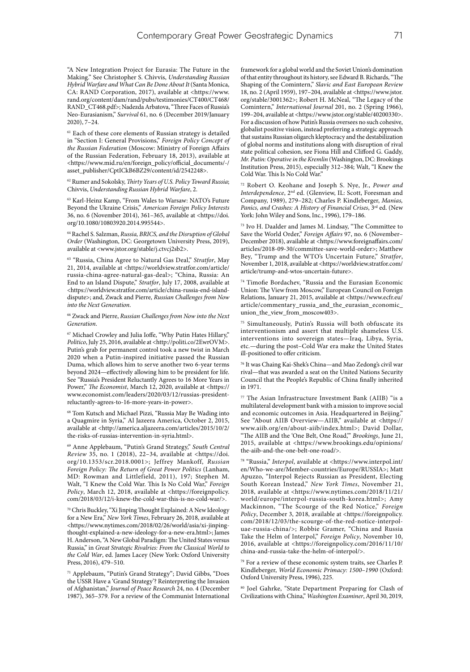"A New Integration Project for Eurasia: The Future in the Making." See Christopher S. Chivvis, *Understanding Russian Hybrid Warfare and What Can Be Done About It* (Santa Monica, CA: RAND Corporation, 2017), available at <https://www. rand.org/content/dam/rand/pubs/testimonies/CT400/CT468/ RAND\_CT468.pdf>; Nadezda Arbatova, "Three Faces of Russia's Neo-Eurasianism," *Survival* 61, no. 6 (December 2019/January 2020), 7–24.

<sup>61</sup> Each of these core elements of Russian strategy is detailed in "Section I: General Provisions," *Foreign Policy Concept of the Russian Federation* (Moscow: Ministry of Foreign Affairs of the Russian Federation, February 18, 2013), available at <https://www.mid.ru/en/foreign\_policy/official\_documents/-/ asset\_publisher/CptICkB6BZ29/content/id/2542248>.

<sup>62</sup> Rumer and Sokolsky, *Thirty Years of U.S. Policy Toward Russia*; Chivvis, *Understanding Russian Hybrid Warfare*, 2.

<sup>63</sup> Karl-Heinz Kamp, "From Wales to Warsaw: NATO's Future Beyond the Ukraine Crisis," *American Foreign Policy Interests* 36, no. 6 (November 2014), 361–365, available at <https://doi. org/10.1080/10803920.2014.995544>.

<sup>64</sup> Rachel S. Salzman, *Russia, BRICS, and the Disruption of Global Order* (Washington, DC: Georgetown University Press, 2019), available at <www.jstor.org/stable/j.ctvcj2sb2>.

<sup>65</sup> "Russia, China Agree to Natural Gas Deal," *Stratfor*, May 21, 2014, available at <https://worldview.stratfor.com/article/ russia-china-agree-natural-gas-deal>; "China, Russia: An End to an Island Dispute," *Stratfor*, July 17, 2008, available at <https://worldview.stratfor.com/article/china-russia-end-islanddispute>; and, Zwack and Pierre, *Russian Challenges from Now into the Next Generation*.

<sup>66</sup> Zwack and Pierre, *Russian Challenges from Now into the Next Generation*.

<sup>67</sup> Michael Crowley and Julia Ioffe, "Why Putin Hates Hillary," *Politico*, July 25, 2016, available at <http://politi.co/2EwrOVM>. Putin's grab for permanent control took a new twist in March 2020 when a Putin-inspired initiative passed the Russian Duma, which allows him to serve another two 6-year terms beyond 2024—effectively allowing him to be president for life. See "Russia's President Reluctantly Agrees to 16 More Years in Power," *The Economist*, March 12, 2020, available at <https:// www.economist.com/leaders/2020/03/12/russias-presidentreluctantly-agrees-to-16-more-years-in-power>.

<sup>68</sup> Tom Kutsch and Michael Pizzi, "Russia May Be Wading into a Quagmire in Syria," Al Jazeera America, October 2, 2015, available at <http://america.aljazeera.com/articles/2015/10/2/ the-risks-of-russias-intervention-in-syria.html>.

<sup>69</sup> Anne Applebaum, "Putin's Grand Strategy," *South Central Review* 35, no. 1 (2018), 22–34, available at <https://doi. org/10.1353/scr.2018.0001>; Jeffrey Mankoff, *Russian Foreign Policy: The Return of Great Power Politics* (Lanham, MD: Rowman and Littlefield, 2011), 197; Stephen M. Walt, "I Knew the Cold War. This Is No Cold War," *Foreign Policy*, March 12, 2018, available at <https://foreignpolicy. com/2018/03/12/i-knew-the-cold-war-this-is-no-cold-war/>.

70Chris Buckley, "Xi Jinping Thought Explained: A New Ideology for a New Era," *New York Times*, February 26, 2018, available at <https://www.nytimes.com/2018/02/26/world/asia/xi-jinpingthought-explained-a-new-ideology-for-a-new-era.html>; James H. Anderson, "A New Global Paradigm: The United States versus Russia," in *Great Strategic Rivalries: From the Classical World to the Cold War*, ed. James Lacey (New York: Oxford University Press, 2016), 479–510.

<sup>71</sup> Applebaum, "Putin's Grand Strategy"; David Gibbs, "Does the USSR Have a 'Grand Strategy'? Reinterpreting the Invasion of Afghanistan," *Journal of Peace Research* 24, no. 4 (December 1987), 365–379. For a review of the Communist International framework for a global world and the Soviet Union's domination of that entity throughout its history, see Edward B. Richards, "The Shaping of the Comintern," *Slavic and East European Review* 18, no. 2 (April 1959), 197–204, available at <https://www.jstor. org/stable/3001362>; Robert H. McNeal, "The Legacy of the Comintern," *International Journal* 201, no. 2 (Spring 1966), 199–204, available at <https://www.jstor.org/stable/40200330>. For a discussion of how Putin's Russia oversees no such cohesive, globalist positive vision, instead preferring a strategic approach that sustains Russian oligarch kleptocracy and the destabilization of global norms and institutions along with disruption of rival state political cohesion, see Fiona Hill and Clifford G. Gaddy, *Mr. Putin: Operative in the Kremlin* (Washington, DC: Brookings Institution Press, 2015), especially 312–384; Walt, "I Knew the Cold War. This Is No Cold War."

<sup>72</sup> Robert O. Keohane and Joseph S. Nye, Jr., *Power and Interdependence*, 2nd ed. (Glenview, IL: Scott, Foresman and Company, 1989), 279–282; Charles P. Kindleberger, *Manias, Panics, and Crashes: A History of Financial Crises*, 3rd ed. (New York: John Wiley and Sons, Inc., 1996), 179–186.

<sup>73</sup> Ivo H. Daalder and James M. Lindsay, "The Committee to Save the World Order," *Foreign Affairs* 97, no. 6 (November– December 2018), available at <https://www.foreignaffairs.com/ articles/2018-09-30/committee-save-world-order>; Matthew Bey, "Trump and the WTO's Uncertain Future," *Stratfor*, November 1, 2018, available at <https://worldview.stratfor.com/ article/trump-and-wtos-uncertain-future>.

<sup>74</sup> Timofie Bordachev, "Russia and the Eurasian Economic Union: The View from Moscow," European Council on Foreign Relations, January 21, 2015, available at <https://www.ecfr.eu/ article/commentary\_russia\_and\_the\_eurasian\_economic\_ union the view from moscow403>.

<sup>75</sup> Simultaneously, Putin's Russia will both obfuscate its interventionism and assert that multiple shameless U.S. interventions into sovereign states—Iraq, Libya, Syria, etc.—during the post–Cold War era make the United States ill-positioned to offer criticism.

<sup>76</sup> It was Chaing Kai-Shek's China—and Mao Zedong's civil war rival—that was awarded a seat on the United Nations Security Council that the People's Republic of China finally inherited in 1971.

<sup>77</sup> The Asian Infrastructure Investment Bank (AIIB) "is a multilateral development bank with a mission to improve social and economic outcomes in Asia. Headquartered in Beijing." See "About AIIB Overview—AIIB," available at <https:// www.aiib.org/en/about-aiib/index.html>; David Dollar, "The AIIB and the 'One Belt, One Road,'" *Brookings*, June 21, 2015, available at <https://www.brookings.edu/opinions/ the-aiib-and-the-one-belt-one-road/>.

78 "Russia," *Interpol*, available at <https://www.interpol.int/ en/Who-we-are/Member-countries/Europe/RUSSIA>; Matt Apuzzo, "Interpol Rejects Russian as President, Electing South Korean Instead," *New York Times*, November 21, 2018, available at <https://www.nytimes.com/2018/11/21/ world/europe/interpol-russia-south-korea.html>; Amy Mackinnon, "The Scourge of the Red Notice," *Foreign Policy*, December 3, 2018, available at <https://foreignpolicy. com/2018/12/03/the-scourge-of-the-red-notice-interpoluae-russia-china/>; Robbie Gramer, "China and Russia Take the Helm of Interpol," *Foreign Policy*, November 10, 2016, available at <https://foreignpolicy.com/2016/11/10/ china-and-russia-take-the-helm-of-interpol/>.

 $^{79}$  For a review of these economic system traits, see Charles P. Kindleberger, *World Economic Primacy: 1500–1990* (Oxford: Oxford University Press, 1996), 225.

80 Joel Gahrke, "State Department Preparing for Clash of Civilizations with China," *Washington Examiner*, April 30, 2019,